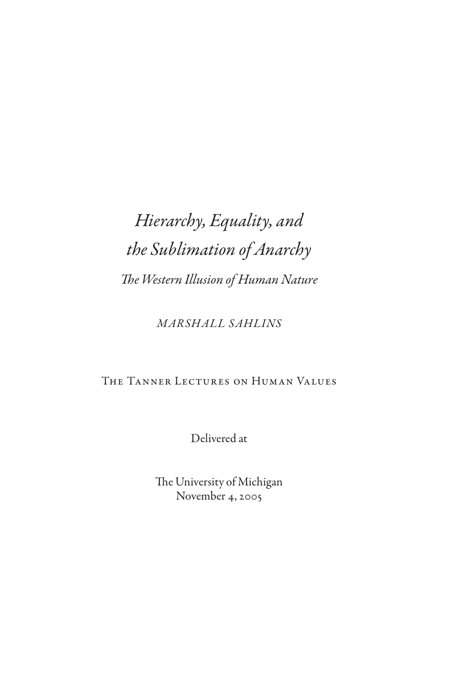# *Hierarchy, Equality, and the Sublimation of Anarchy The Western Illusion of Human Nature*

*Marshall Sahlins*

# The Tanner Lectures on Human Values

Delivered at

The University of Michigan November 4, 2005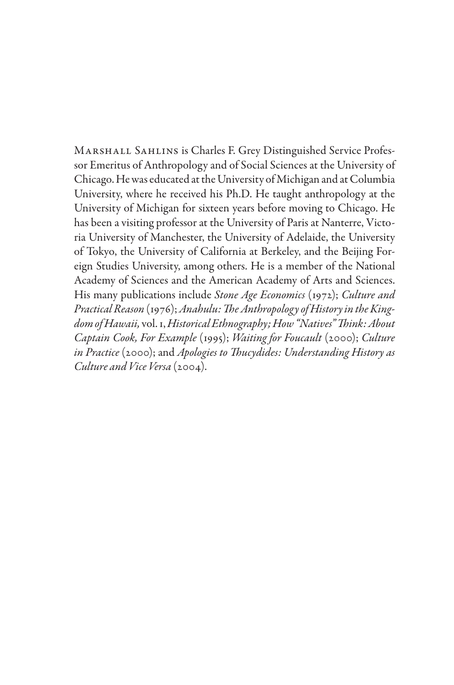Marshall Sahlins is Charles F. Grey Distinguished Service Professor Emeritus of Anthropology and of Social Sciences at the University of Chicago. He was educated at the University of Michigan and at Columbia University, where he received his Ph.D. He taught anthropology at the University of Michigan for sixteen years before moving to Chicago. He has been a visiting professor at the University of Paris at Nanterre, Victoria University of Manchester, the University of Adelaide, the University of Tokyo, the University of California at Berkeley, and the Beijing Foreign Studies University, among others. He is a member of the National Academy of Sciences and the American Academy of Arts and Sciences. His many publications include *Stone Age Economics* (1972); *Culture and Practical Reason* (1976); *Anahulu: The Anthropology of History in the Kingdom of Hawaii,* vol. 1, *Historical Ethnography;How "Natives" Think: About Captain Cook, For Example* (1995); *Waiting for Foucault* (2000); *Culture in Practice* (2000); and *Apologies to Thucydides: Understanding History as Culture and Vice Versa* (2004).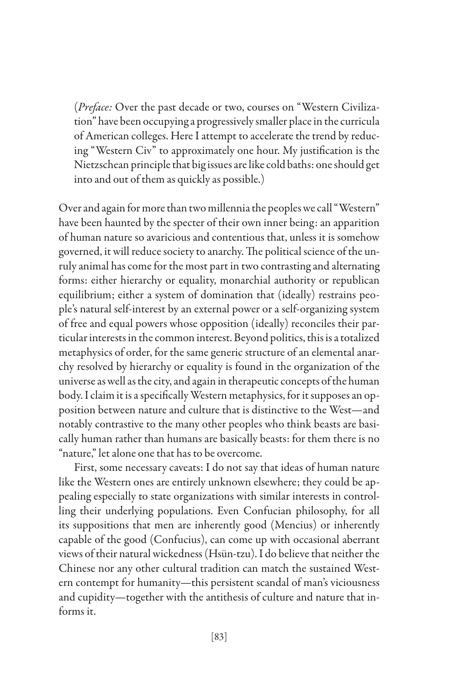(*Preface:* Over the past decade or two, courses on "Western Civilization" have been occupying a progressively smaller place in the curricula of American colleges. Here I attempt to accelerate the trend by reducing "Western Civ" to approximately one hour. My justification is the Nietzschean principle that big issues are like cold baths: one should get into and out of them as quickly as possible.)

Over and again for more than two millennia the peoples we call "Western" have been haunted by the specter of their own inner being: an apparition of human nature so avaricious and contentious that, unless it is somehow governed, it will reduce society to anarchy. The political science of the unruly animal has come for the most part in two contrasting and alternating forms: either hierarchy or equality, monarchial authority or republican equilibrium; either a system of domination that (ideally) restrains people's natural self-interest by an external power or a self-organizing system of free and equal powers whose opposition (ideally) reconciles their particular interests in the common interest. Beyond politics, this is a totalized metaphysics of order, for the same generic structure of an elemental anarchy resolved by hierarchy or equality is found in the organization of the universe as well as the city, and again in therapeutic concepts of the human body. I claim it is a specifically Western metaphysics, for it supposes an opposition between nature and culture that is distinctive to the West—and notably contrastive to the many other peoples who think beasts are basically human rather than humans are basically beasts: for them there is no "nature," let alone one that has to be overcome.

First, some necessary caveats: I do not say that ideas of human nature like the Western ones are entirely unknown elsewhere; they could be appealing especially to state organizations with similar interests in controlling their underlying populations. Even Confucian philosophy, for all its suppositions that men are inherently good (Mencius) or inherently capable of the good (Confucius), can come up with occasional aberrant views of their natural wickedness (Hsün-tzu). I do believe that neither the Chinese nor any other cultural tradition can match the sustained Western contempt for humanity—this persistent scandal of man's viciousness and cupidity—together with the antithesis of culture and nature that informs it.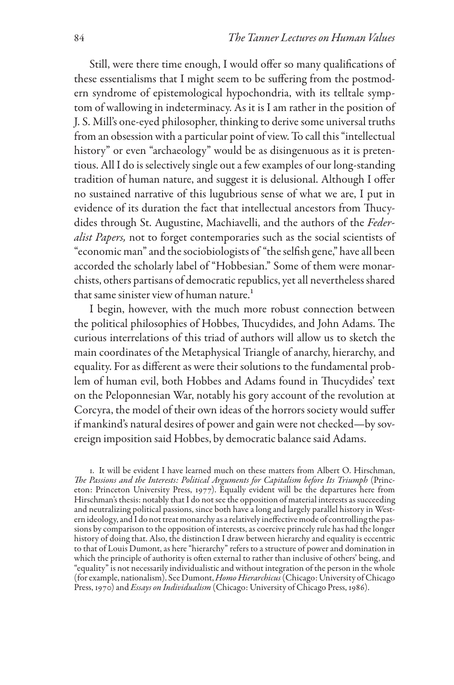Still, were there time enough, I would offer so many qualifications of these essentialisms that I might seem to be suffering from the postmodern syndrome of epistemological hypochondria, with its telltale symptom of wallowing in indeterminacy. As it is I am rather in the position of J. S. Mill's one-eyed philosopher, thinking to derive some universal truths from an obsession with a particular point of view. To call this "intellectual history" or even "archaeology" would be as disingenuous as it is pretentious. All I do is selectively single out a few examples of our long-standing tradition of human nature, and suggest it is delusional. Although I offer no sustained narrative of this lugubrious sense of what we are, I put in evidence of its duration the fact that intellectual ancestors from Thucydides through St. Augustine, Machiavelli, and the authors of the *Federalist Papers,* not to forget contemporaries such as the social scientists of "economic man" and the sociobiologists of "the selfish gene," have all been accorded the scholarly label of "Hobbesian." Some of them were monarchists, others partisans of democratic republics, yet all nevertheless shared that same sinister view of human nature.

I begin, however, with the much more robust connection between the political philosophies of Hobbes, Thucydides, and John Adams. The curious interrelations of this triad of authors will allow us to sketch the main coordinates of the Metaphysical Triangle of anarchy, hierarchy, and equality. For as different as were their solutions to the fundamental problem of human evil, both Hobbes and Adams found in Thucydides' text on the Peloponnesian War, notably his gory account of the revolution at Corcyra, the model of their own ideas of the horrors society would suffer if mankind's natural desires of power and gain were not checked—by sovereign imposition said Hobbes, by democratic balance said Adams.

. It will be evident I have learned much on these matters from Albert O. Hirschman, *The Passions and the Interests: Political Arguments for Capitalism before Its Triumph* (Princeton: Princeton University Press, 1977). Equally evident will be the departures here from Hirschman's thesis: notably that I do not see the opposition of material interests as succeeding and neutralizing political passions, since both have a long and largely parallel history in Western ideology, and I do not treat monarchy as a relatively ineffective mode of controlling the passions by comparison to the opposition of interests, as coercive princely rule has had the longer history of doing that. Also, the distinction I draw between hierarchy and equality is eccentric to that of Louis Dumont, as here "hierarchy" refers to a structure of power and domination in which the principle of authority is often external to rather than inclusive of others' being, and "equality" is not necessarily individualistic and without integration of the person in the whole (for example, nationalism). See Dumont, *Homo Hierarchicus* (Chicago: University of Chicago Press, 1970) and *Essays on Individualism* (Chicago: University of Chicago Press, 1986).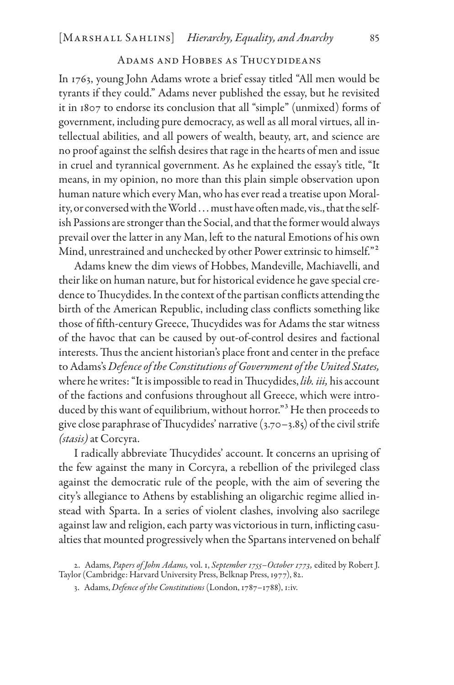## Adams and Hobbes as Thucydideans

In 1763, young John Adams wrote a brief essay titled "All men would be tyrants if they could." Adams never published the essay, but he revisited it in 1807 to endorse its conclusion that all "simple" (unmixed) forms of government, including pure democracy, as well as all moral virtues, all intellectual abilities, and all powers of wealth, beauty, art, and science are no proof against the selfish desires that rage in the hearts of men and issue in cruel and tyrannical government. As he explained the essay's title, "It means, in my opinion, no more than this plain simple observation upon human nature which every Man, who has ever read a treatise upon Morality, or conversed with the World . . . must have often made, vis., that the selfish Passions are stronger than the Social, and that the former would always prevail over the latter in any Man, left to the natural Emotions of his own Mind, unrestrained and unchecked by other Power extrinsic to himself."<sup>2</sup>

Adams knew the dim views of Hobbes, Mandeville, Machiavelli, and their like on human nature, but for historical evidence he gave special credence to Thucydides. In the context of the partisan conflicts attending the birth of the American Republic, including class conflicts something like those of fifth-century Greece, Thucydides was for Adams the star witness of the havoc that can be caused by out-of-control desires and factional interests. Thus the ancient historian's place front and center in the preface to Adams's *Defence of the Constitutions of Government of the United States,* where he writes: "It is impossible to read in Thucydides, *lib. iii,* his account of the factions and confusions throughout all Greece, which were introduced by this want of equilibrium, without horror."<sup>3</sup> He then proceeds to give close paraphrase of Thucydides' narrative  $(3.70-3.85)$  of the civil strife *(stasis)* at Corcyra.

I radically abbreviate Thucydides' account. It concerns an uprising of the few against the many in Corcyra, a rebellion of the privileged class against the democratic rule of the people, with the aim of severing the city's allegiance to Athens by establishing an oligarchic regime allied instead with Sparta. In a series of violent clashes, involving also sacrilege against law and religion, each party was victorious in turn, inflicting casualties that mounted progressively when the Spartans intervened on behalf

. Adams, *Papers of John Adams,* vol. 1, *September 1755–October 1773,* edited by Robert J. Taylor (Cambridge: Harvard University Press, Belknap Press, 1977), 82.

. Adams, *Defence of the Constitutions* (London, 1787–1788), 1:iv.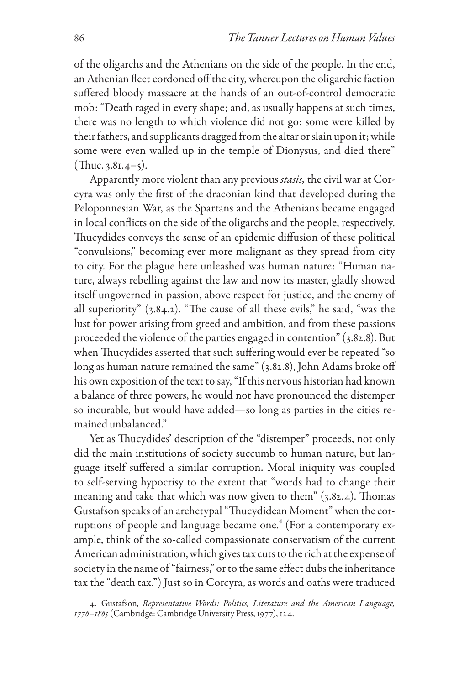of the oligarchs and the Athenians on the side of the people. In the end, an Athenian fleet cordoned off the city, whereupon the oligarchic faction suffered bloody massacre at the hands of an out-of-control democratic mob: "Death raged in every shape; and, as usually happens at such times, there was no length to which violence did not go; some were killed by their fathers, and supplicants dragged from the altar or slain upon it; while some were even walled up in the temple of Dionysus, and died there"  $($ Thuc. 3.81.4–5).

Apparently more violent than any previous *stasis,* the civil war at Corcyra was only the first of the draconian kind that developed during the Peloponnesian War, as the Spartans and the Athenians became engaged in local conflicts on the side of the oligarchs and the people, respectively. Thucydides conveys the sense of an epidemic diffusion of these political "convulsions," becoming ever more malignant as they spread from city to city. For the plague here unleashed was human nature: "Human nature, always rebelling against the law and now its master, gladly showed itself ungoverned in passion, above respect for justice, and the enemy of all superiority" (3.84.2). "The cause of all these evils," he said, "was the lust for power arising from greed and ambition, and from these passions proceeded the violence of the parties engaged in contention" (3.82.8). But when Thucydides asserted that such suffering would ever be repeated "so long as human nature remained the same" (3.82.8), John Adams broke off his own exposition of the text to say, "If this nervous historian had known a balance of three powers, he would not have pronounced the distemper so incurable, but would have added—so long as parties in the cities remained unbalanced."

Yet as Thucydides' description of the "distemper" proceeds, not only did the main institutions of society succumb to human nature, but language itself suffered a similar corruption. Moral iniquity was coupled to self-serving hypocrisy to the extent that "words had to change their meaning and take that which was now given to them" (3.82.4). Thomas Gustafson speaks of an archetypal "Thucydidean Moment" when the corruptions of people and language became one.<sup>4</sup> (For a contemporary example, think of the so-called compassionate conservatism of the current American administration, which gives tax cuts to the rich at the expense of society in the name of "fairness," or to the same effect dubs the inheritance tax the "death tax.") Just so in Corcyra, as words and oaths were traduced

<sup>.</sup> Gustafson, *Representative Words: Politics, Literature and the American Language, 1776–1865* (Cambridge: Cambridge University Press, 1977), 124.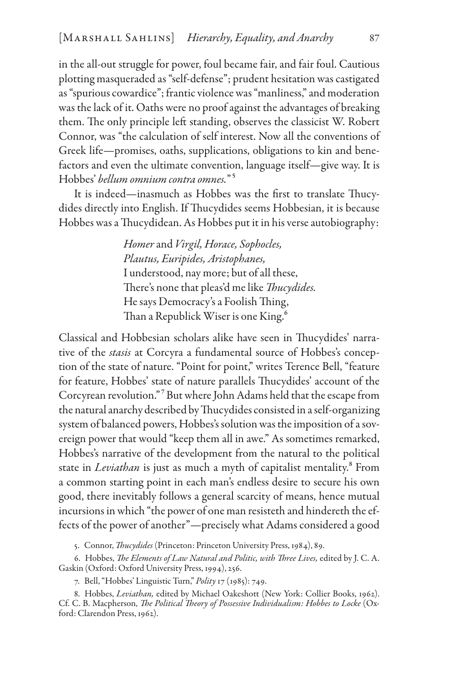in the all-out struggle for power, foul became fair, and fair foul. Cautious plotting masqueraded as "self-defense"; prudent hesitation was castigated as "spurious cowardice"; frantic violence was "manliness," and moderation was the lack of it. Oaths were no proof against the advantages of breaking them. The only principle left standing, observes the classicist W. Robert Connor, was "the calculation of self interest. Now all the conventions of Greek life—promises, oaths, supplications, obligations to kin and benefactors and even the ultimate convention, language itself—give way. It is Hobbes' *bellum omnium contra omnes.*"

It is indeed—inasmuch as Hobbes was the first to translate Thucydides directly into English. If Thucydides seems Hobbesian, it is because Hobbes was a Thucydidean. As Hobbes put it in his verse autobiography:

> *Homer* and *Virgil, Horace, Sophocles, Plautus, Euripides, Aristophanes,* I understood, nay more; but of all these, There's none that pleas'd me like *Thucydides.* He says Democracy's a Foolish Thing, Than a Republick Wiser is one King.

Classical and Hobbesian scholars alike have seen in Thucydides' narrative of the *stasis* at Corcyra a fundamental source of Hobbes's conception of the state of nature. "Point for point," writes Terence Bell, "feature for feature, Hobbes' state of nature parallels Thucydides' account of the Corcyrean revolution." But where John Adams held that the escape from the natural anarchy described by Thucydides consisted in a self-organizing system of balanced powers, Hobbes's solution was the imposition of a sovereign power that would "keep them all in awe." As sometimes remarked, Hobbes's narrative of the development from the natural to the political state in *Leviathan* is just as much a myth of capitalist mentality.<sup>8</sup> From a common starting point in each man's endless desire to secure his own good, there inevitably follows a general scarcity of means, hence mutual incursions in which "the power of one man resisteth and hindereth the effects of the power of another"—precisely what Adams considered a good

. Connor, *Thucydides* (Princeton: Princeton University Press, 1984), 89.

. Hobbes, *The Elements of Law Natural and Politic, with Three Lives,* edited by J. C. A. Gaskin (Oxford: Oxford University Press, 1994), 256.

. Bell, "Hobbes' Linguistic Turn," *Polity* 17 (1985): 749.

. Hobbes, *Leviathan,* edited by Michael Oakeshott (New York: Collier Books, 1962). Cf. C. B. Macpherson, *The Political Theory of Possessive Individualism: Hobbes to Locke* (Oxford: Clarendon Press, 1962).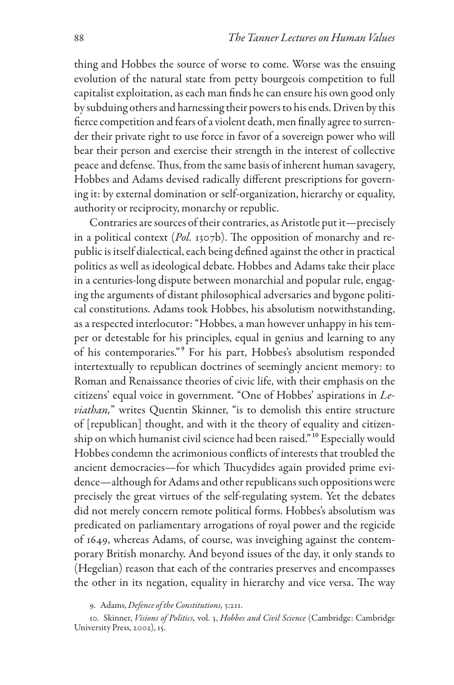thing and Hobbes the source of worse to come. Worse was the ensuing evolution of the natural state from petty bourgeois competition to full capitalist exploitation, as each man finds he can ensure his own good only by subduing others and harnessing their powers to his ends. Driven by this fierce competition and fears of a violent death, men finally agree to surrender their private right to use force in favor of a sovereign power who will bear their person and exercise their strength in the interest of collective peace and defense. Thus, from the same basis of inherent human savagery, Hobbes and Adams devised radically different prescriptions for governing it: by external domination or self-organization, hierarchy or equality, authority or reciprocity, monarchy or republic.

Contraries are sources of their contraries, as Aristotle put it—precisely in a political context (*Pol.* 1307b). The opposition of monarchy and republic is itself dialectical, each being defined against the other in practical politics as well as ideological debate. Hobbes and Adams take their place in a centuries-long dispute between monarchial and popular rule, engaging the arguments of distant philosophical adversaries and bygone political constitutions. Adams took Hobbes, his absolutism notwithstanding, as a respected interlocutor: "Hobbes, a man however unhappy in his temper or detestable for his principles, equal in genius and learning to any of his contemporaries."<sup>9</sup> For his part, Hobbes's absolutism responded intertextually to republican doctrines of seemingly ancient memory: to Roman and Renaissance theories of civic life, with their emphasis on the citizens' equal voice in government. "One of Hobbes' aspirations in *Leviathan,*" writes Quentin Skinner, "is to demolish this entire structure of [republican] thought, and with it the theory of equality and citizenship on which humanist civil science had been raised."10 Especially would Hobbes condemn the acrimonious conflicts of interests that troubled the ancient democracies—for which Thucydides again provided prime evidence—although for Adams and other republicans such oppositions were precisely the great virtues of the self-regulating system. Yet the debates did not merely concern remote political forms. Hobbes's absolutism was predicated on parliamentary arrogations of royal power and the regicide of 1649, whereas Adams, of course, was inveighing against the contemporary British monarchy. And beyond issues of the day, it only stands to (Hegelian) reason that each of the contraries preserves and encompasses the other in its negation, equality in hierarchy and vice versa. The way

. Adams, *Defence of the Constitutions,* 3:211.

10. Skinner, *Visions of Politics,* vol. 3, *Hobbes and Civil Science* (Cambridge: Cambridge University Press, 2002), 15.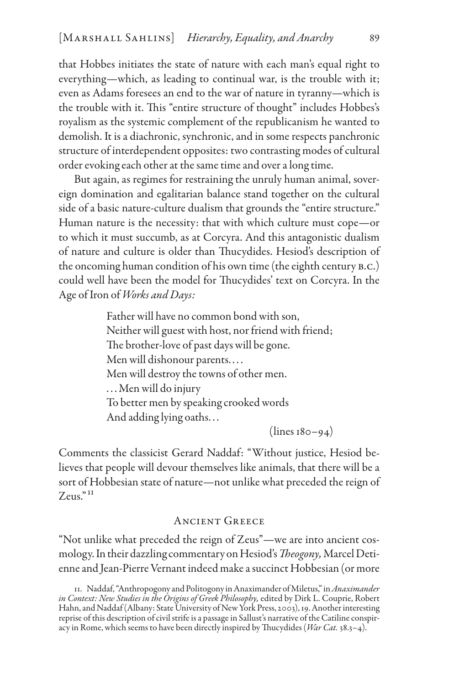that Hobbes initiates the state of nature with each man's equal right to everything—which, as leading to continual war, is the trouble with it; even as Adams foresees an end to the war of nature in tyranny—which is the trouble with it. This "entire structure of thought" includes Hobbes's royalism as the systemic complement of the republicanism he wanted to demolish. It is a diachronic, synchronic, and in some respects panchronic structure of interdependent opposites: two contrasting modes of cultural order evoking each other at the same time and over a long time.

But again, as regimes for restraining the unruly human animal, sovereign domination and egalitarian balance stand together on the cultural side of a basic nature-culture dualism that grounds the "entire structure." Human nature is the necessity: that with which culture must cope—or to which it must succumb, as at Corcyra. And this antagonistic dualism of nature and culture is older than Thucydides. Hesiod's description of the oncoming human condition of his own time (the eighth century b.c.) could well have been the model for Thucydides' text on Corcyra. In the Age of Iron of *Works and Days:*

> Father will have no common bond with son, Neither will guest with host, nor friend with friend; The brother-love of past days will be gone. Men will dishonour parents. . . . Men will destroy the towns of other men. . . .Men will do injury To better men by speaking crooked words And adding lying oaths. . .

> > $(lines 180 - 94)$

Comments the classicist Gerard Naddaf: "Without justice, Hesiod believes that people will devour themselves like animals, that there will be a sort of Hobbesian state of nature—not unlike what preceded the reign of  $Zeus.^{"11}$ 

## Ancient Greece

"Not unlike what preceded the reign of Zeus"—we are into ancient cosmology. In their dazzling commentary on Hesiod's *Theogony*, Marcel Detienne and Jean-Pierre Vernant indeed make a succinct Hobbesian (or more

<sup>11.</sup> Naddaf, "Anthropogony and Politogony in Anaximander of Miletus," in *Anaximander in Context: New Studies in the Origins of Greek Philosophy,* edited by Dirk L. Couprie, Robert Hahn, and Naddaf (Albany: State University of New York Press, 2003), 19. Another interesting reprise of this description of civil strife is a passage in Sallust's narrative of the Catiline conspiracy in Rome, which seems to have been directly inspired by Thucydides (*War Cat.* 38.3–4).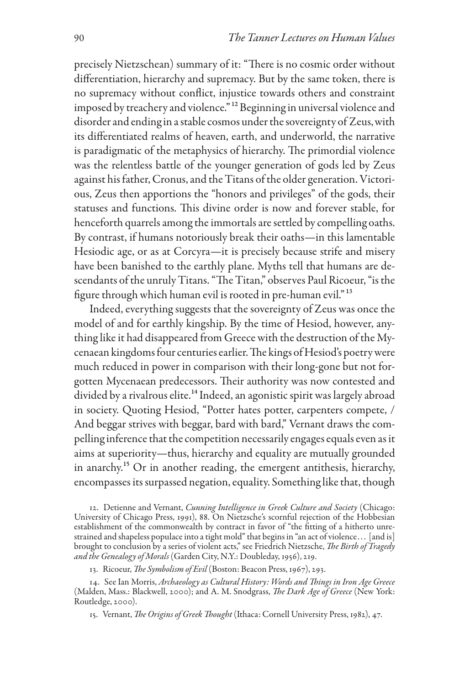precisely Nietzschean) summary of it: "There is no cosmic order without differentiation, hierarchy and supremacy. But by the same token, there is no supremacy without conflict, injustice towards others and constraint imposed by treachery and violence."<sup>12</sup> Beginning in universal violence and disorder and ending in a stable cosmos under the sovereignty of Zeus, with its differentiated realms of heaven, earth, and underworld, the narrative is paradigmatic of the metaphysics of hierarchy. The primordial violence was the relentless battle of the younger generation of gods led by Zeus against his father, Cronus, and the Titans of the older generation. Victorious, Zeus then apportions the "honors and privileges" of the gods, their statuses and functions. This divine order is now and forever stable, for henceforth quarrels among the immortals are settled by compelling oaths. By contrast, if humans notoriously break their oaths—in this lamentable Hesiodic age, or as at Corcyra—it is precisely because strife and misery have been banished to the earthly plane. Myths tell that humans are descendants of the unruly Titans. "The Titan," observes Paul Ricoeur, "is the figure through which human evil is rooted in pre-human evil."<sup>13</sup>

Indeed, everything suggests that the sovereignty of Zeus was once the model of and for earthly kingship. By the time of Hesiod, however, anything like it had disappeared from Greece with the destruction of the Mycenaean kingdoms four centuries earlier. The kings of Hesiod's poetry were much reduced in power in comparison with their long-gone but not forgotten Mycenaean predecessors. Their authority was now contested and divided by a rivalrous elite.<sup>14</sup> Indeed, an agonistic spirit was largely abroad in society. Quoting Hesiod, "Potter hates potter, carpenters compete, / And beggar strives with beggar, bard with bard," Vernant draws the compelling inference that the competition necessarily engages equals even as it aims at superiority—thus, hierarchy and equality are mutually grounded in anarchy.15 Or in another reading, the emergent antithesis, hierarchy, encompasses its surpassed negation, equality. Something like that, though

12. Detienne and Vernant, *Cunning Intelligence in Greek Culture and Society* (Chicago: University of Chicago Press, 1991), 88. On Nietzsche's scornful rejection of the Hobbesian establishment of the commonwealth by contract in favor of "the fitting of a hitherto unrestrained and shapeless populace into a tight mold" that begins in "an act of violence. . . [and is] brought to conclusion by a series of violent acts," see Friedrich Nietzsche, *The Birth of Tragedy and the Genealogy of Morals* (Garden City, N.Y.: Doubleday, 1956), 219.

13. Ricoeur, *The Symbolism of Evil* (Boston: Beacon Press, 1967), 293.

14. See Ian Morris, *Archaeology as Cultural History: Words and Things in Iron Age Greece* (Malden, Mass.: Blackwell, 2000); and A. M. Snodgrass, *The Dark Age of Greece* (New York: Routledge, 2000).

15. Vernant, *The Origins of Greek Thought* (Ithaca: Cornell University Press, 1982), 47.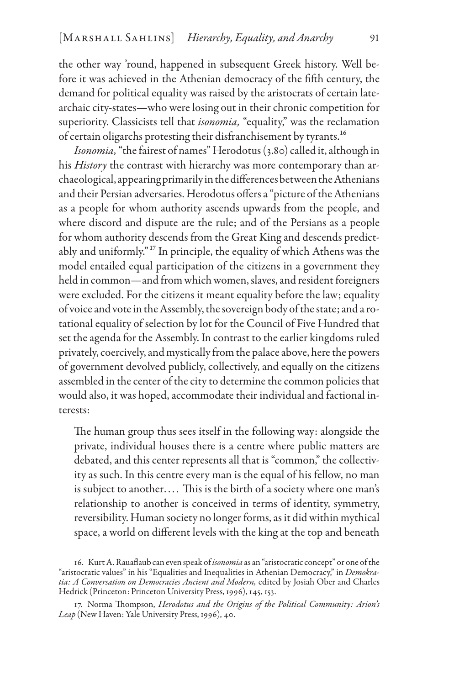the other way 'round, happened in subsequent Greek history. Well before it was achieved in the Athenian democracy of the fifth century, the demand for political equality was raised by the aristocrats of certain latearchaic city-states—who were losing out in their chronic competition for superiority. Classicists tell that *isonomia,* "equality," was the reclamation of certain oligarchs protesting their disfranchisement by tyrants.16

*Isonomia,* "the fairest of names" Herodotus (3.80) called it, although in his *History* the contrast with hierarchy was more contemporary than archaeological, appearing primarily in the differences between the Athenians and their Persian adversaries. Herodotus offers a "picture of the Athenians as a people for whom authority ascends upwards from the people, and where discord and dispute are the rule; and of the Persians as a people for whom authority descends from the Great King and descends predictably and uniformly."17 In principle, the equality of which Athens was the model entailed equal participation of the citizens in a government they held in common—and from which women, slaves, and resident foreigners were excluded. For the citizens it meant equality before the law; equality of voice and vote in the Assembly, the sovereign body of the state; and a rotational equality of selection by lot for the Council of Five Hundred that set the agenda for the Assembly. In contrast to the earlier kingdoms ruled privately, coercively, and mystically from the palace above, here the powers of government devolved publicly, collectively, and equally on the citizens assembled in the center of the city to determine the common policies that would also, it was hoped, accommodate their individual and factional interests:

The human group thus sees itself in the following way: alongside the private, individual houses there is a centre where public matters are debated, and this center represents all that is "common," the collectivity as such. In this centre every man is the equal of his fellow, no man is subject to another.... This is the birth of a society where one man's relationship to another is conceived in terms of identity, symmetry, reversibility. Human society no longer forms, as it did within mythical space, a world on different levels with the king at the top and beneath

<sup>16.</sup> Kurt A. Rauaflaub can even speak of *isonomia* as an "aristocratic concept" or one of the "aristocratic values" in his "Equalities and Inequalities in Athenian Democracy," in *Demokratia: A Conversation on Democracies Ancient and Modern,* edited by Josiah Ober and Charles Hedrick (Princeton: Princeton University Press, 1996), 145, 153.

<sup>17.</sup> Norma Thompson, *Herodotus and the Origins of the Political Community: Arion's Leap* (New Haven: Yale University Press, 1996), 40.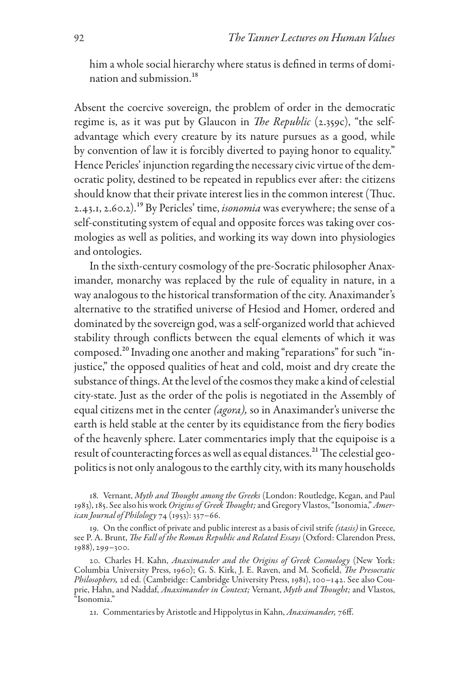him a whole social hierarchy where status is defined in terms of domination and submission.<sup>18</sup>

Absent the coercive sovereign, the problem of order in the democratic regime is, as it was put by Glaucon in *The Republic* (2.359c), "the selfadvantage which every creature by its nature pursues as a good, while by convention of law it is forcibly diverted to paying honor to equality." Hence Pericles' injunction regarding the necessary civic virtue of the democratic polity, destined to be repeated in republics ever after: the citizens should know that their private interest lies in the common interest (Thuc. 2.43.1, 2.60.2).19 By Pericles' time, *isonomia* was everywhere; the sense of a self-constituting system of equal and opposite forces was taking over cosmologies as well as polities, and working its way down into physiologies and ontologies.

In the sixth-century cosmology of the pre-Socratic philosopher Anaximander, monarchy was replaced by the rule of equality in nature, in a way analogous to the historical transformation of the city. Anaximander's alternative to the stratified universe of Hesiod and Homer, ordered and dominated by the sovereign god, was a self-organized world that achieved stability through conflicts between the equal elements of which it was composed.20 Invading one another and making "reparations" for such "injustice," the opposed qualities of heat and cold, moist and dry create the substance of things. At the level of the cosmos they make a kind of celestial city-state. Just as the order of the polis is negotiated in the Assembly of equal citizens met in the center *(agora),* so in Anaximander's universe the earth is held stable at the center by its equidistance from the fiery bodies of the heavenly sphere. Later commentaries imply that the equipoise is a result of counteracting forces as well as equal distances.<sup>21</sup> The celestial geopolitics is not only analogous to the earthly city, with its many households

18. Vernant, *Myth and Thought among the Greeks* (London: Routledge, Kegan, and Paul 1983), 185. See also his work *Origins of Greek Thought;* and Gregory Vlastos, "Isonomia," *American Journal of Philology* 74 (1953): 337–66.

19. On the conflict of private and public interest as a basis of civil strife *(stasis)* in Greece, see P. A. Brunt, *The Fall of the Roman Republic and Related Essays* (Oxford: Clarendon Press, 1988), 299–300.

20. Charles H. Kahn, *Anaximander and the Origins of Greek Cosmology* (New York: Columbia University Press, 1960); G. S. Kirk, J. E. Raven, and M. Scofield, *The Presocratic Philosophers,* 2d ed. (Cambridge: Cambridge University Press, 1981), 100–142. See also Couprie, Hahn, and Naddaf, *Anaximander in Context;* Vernant, *Myth and Thought;* and Vlastos, "Isonomia."

21. Commentaries by Aristotle and Hippolytus in Kahn, *Anaximander,* 76ff.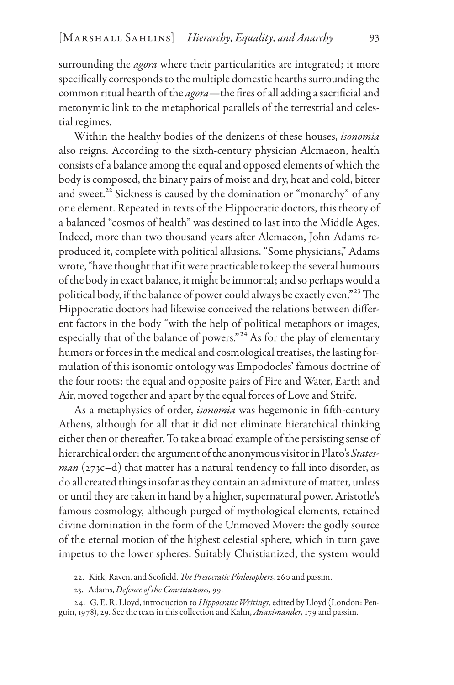surrounding the *agora* where their particularities are integrated; it more specifically corresponds to the multiple domestic hearths surrounding the common ritual hearth of the *agora*—the fires of all adding a sacrificial and metonymic link to the metaphorical parallels of the terrestrial and celestial regimes.

Within the healthy bodies of the denizens of these houses, *isonomia* also reigns. According to the sixth-century physician Alcmaeon, health consists of a balance among the equal and opposed elements of which the body is composed, the binary pairs of moist and dry, heat and cold, bitter and sweet.<sup>22</sup> Sickness is caused by the domination or "monarchy" of any one element. Repeated in texts of the Hippocratic doctors, this theory of a balanced "cosmos of health" was destined to last into the Middle Ages. Indeed, more than two thousand years after Alcmaeon, John Adams reproduced it, complete with political allusions. "Some physicians," Adams wrote, "have thought that if it were practicable to keep the several humours of the body in exact balance, it might be immortal; and so perhaps would a political body, if the balance of power could always be exactly even."23 The Hippocratic doctors had likewise conceived the relations between different factors in the body "with the help of political metaphors or images, especially that of the balance of powers."<sup>24</sup> As for the play of elementary humors or forces in the medical and cosmological treatises, the lasting formulation of this isonomic ontology was Empodocles' famous doctrine of the four roots: the equal and opposite pairs of Fire and Water, Earth and Air, moved together and apart by the equal forces of Love and Strife.

As a metaphysics of order, *isonomia* was hegemonic in fifth-century Athens, although for all that it did not eliminate hierarchical thinking either then or thereafter. To take a broad example of the persisting sense of hierarchical order: the argument of the anonymous visitor in Plato's *Statesman* (273c–d) that matter has a natural tendency to fall into disorder, as do all created things insofar as they contain an admixture of matter, unless or until they are taken in hand by a higher, supernatural power. Aristotle's famous cosmology, although purged of mythological elements, retained divine domination in the form of the Unmoved Mover: the godly source of the eternal motion of the highest celestial sphere, which in turn gave impetus to the lower spheres. Suitably Christianized, the system would

- 22. Kirk, Raven, and Scofield, *The Presocratic Philosophers,* 260 and passim.
- 23. Adams, *Defence of the Constitutions,* 99.

24. G. E. R. Lloyd, introduction to *Hippocratic Writings,* edited by Lloyd (London: Penguin, 1978), 29. See the texts in this collection and Kahn, *Anaximander,* 179 and passim.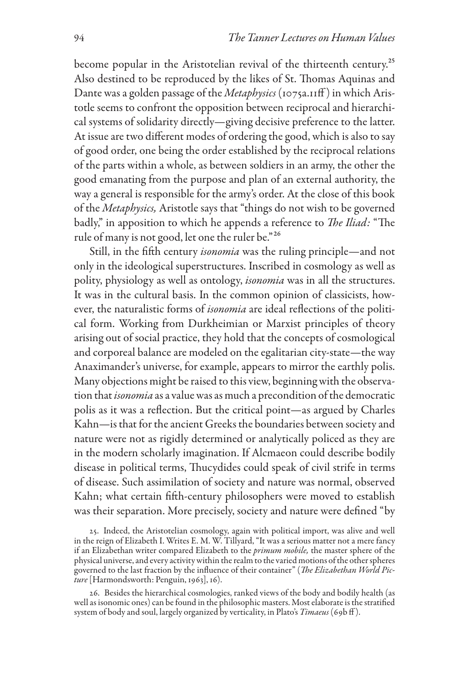become popular in the Aristotelian revival of the thirteenth century.<sup>25</sup> Also destined to be reproduced by the likes of St. Thomas Aquinas and Dante was a golden passage of the *Metaphysics* (1075a.11ff) in which Aristotle seems to confront the opposition between reciprocal and hierarchical systems of solidarity directly—giving decisive preference to the latter. At issue are two different modes of ordering the good, which is also to say of good order, one being the order established by the reciprocal relations of the parts within a whole, as between soldiers in an army, the other the good emanating from the purpose and plan of an external authority, the way a general is responsible for the army's order. At the close of this book of the *Metaphysics,* Aristotle says that "things do not wish to be governed badly," in apposition to which he appends a reference to *The Iliad:* "The rule of many is not good, let one the ruler be."26

Still, in the fifth century *isonomia* was the ruling principle—and not only in the ideological superstructures. Inscribed in cosmology as well as polity, physiology as well as ontology, *isonomia* was in all the structures. It was in the cultural basis. In the common opinion of classicists, however, the naturalistic forms of *isonomia* are ideal reflections of the political form. Working from Durkheimian or Marxist principles of theory arising out of social practice, they hold that the concepts of cosmological and corporeal balance are modeled on the egalitarian city-state—the way Anaximander's universe, for example, appears to mirror the earthly polis. Many objections might be raised to this view, beginning with the observation that *isonomia* as a value was as much a precondition of the democratic polis as it was a reflection. But the critical point—as argued by Charles Kahn—is that for the ancient Greeks the boundaries between society and nature were not as rigidly determined or analytically policed as they are in the modern scholarly imagination. If Alcmaeon could describe bodily disease in political terms, Thucydides could speak of civil strife in terms of disease. Such assimilation of society and nature was normal, observed Kahn; what certain fifth-century philosophers were moved to establish was their separation. More precisely, society and nature were defined "by

25. Indeed, the Aristotelian cosmology, again with political import, was alive and well in the reign of Elizabeth I. Writes E. M. W. Tillyard, "It was a serious matter not a mere fancy if an Elizabethan writer compared Elizabeth to the *primum mobile,* the master sphere of the physical universe, and every activity within the realm to the varied motions of the other spheres governed to the last fraction by the influence of their container" (*The Elizabethan World Picture* [Harmondsworth: Penguin, 1963], 16).

26. Besides the hierarchical cosmologies, ranked views of the body and bodily health (as well as isonomic ones) can be found in the philosophic masters. Most elaborate is the stratified system of body and soul, largely organized by verticality, in Plato's *Timaeus* (69b ff ).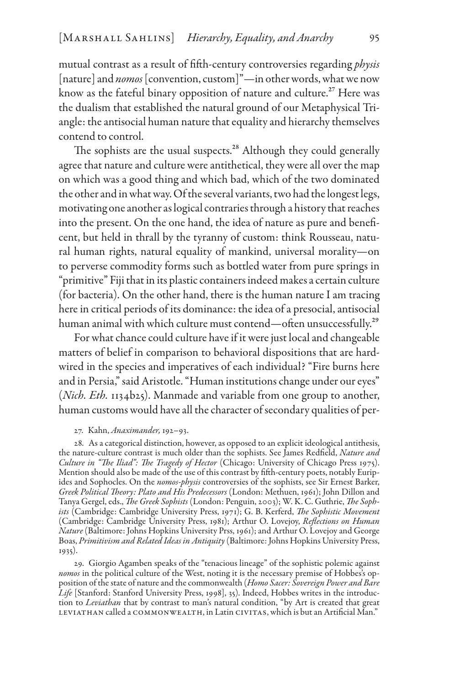mutual contrast as a result of fifth-century controversies regarding *physis* [nature] and *nomos* [convention, custom]"—in other words, what we now know as the fateful binary opposition of nature and culture.<sup>27</sup> Here was the dualism that established the natural ground of our Metaphysical Triangle: the antisocial human nature that equality and hierarchy themselves contend to control.

The sophists are the usual suspects.<sup>28</sup> Although they could generally agree that nature and culture were antithetical, they were all over the map on which was a good thing and which bad, which of the two dominated the other and in what way. Of the several variants, two had the longest legs, motivating one another as logical contraries through a history that reaches into the present. On the one hand, the idea of nature as pure and beneficent, but held in thrall by the tyranny of custom: think Rousseau, natural human rights, natural equality of mankind, universal morality—on to perverse commodity forms such as bottled water from pure springs in "primitive" Fiji that in its plastic containers indeed makes a certain culture (for bacteria). On the other hand, there is the human nature I am tracing here in critical periods of its dominance: the idea of a presocial, antisocial human animal with which culture must contend—often unsuccessfully.<sup>29</sup>

For what chance could culture have if it were just local and changeable matters of belief in comparison to behavioral dispositions that are hardwired in the species and imperatives of each individual? "Fire burns here and in Persia," said Aristotle. "Human institutions change under our eyes" (*Nich. Eth.* 1134b25). Manmade and variable from one group to another, human customs would have all the character of secondary qualities of per-

#### 27. Kahn, *Anaximander,* 192–93.

28. As a categorical distinction, however, as opposed to an explicit ideological antithesis, the nature-culture contrast is much older than the sophists. See James Redfield, *Nature and Culture in "The Iliad": The Tragedy of Hector* (Chicago: University of Chicago Press 1975). Mention should also be made of the use of this contrast by fifth-century poets, notably Euripides and Sophocles. On the *nomos-physis* controversies of the sophists, see Sir Ernest Barker, *Greek Political Theory: Plato and His Predecessors* (London: Methuen, 1961); John Dillon and Tanya Gergel, eds., *The Greek Sophists* (London: Penguin, 2003); W. K. C. Guthrie, *The Sophists* (Cambridge: Cambridge University Press, 1971); G. B. Kerferd, *The Sophistic Movement* (Cambridge: Cambridge University Press, 1981); Arthur O. Lovejoy, *Reflections on Human Nature* (Baltimore: Johns Hopkins University Prss, 1961); and Arthur O. Lovejoy and George Boas, *Primitivism and Related Ideas in Antiquity* (Baltimore: Johns Hopkins University Press, 1935).

29. Giorgio Agamben speaks of the "tenacious lineage" of the sophistic polemic against *nomos* in the political culture of the West, noting it is the necessary premise of Hobbes's opposition of the state of nature and the commonwealth (*Homo Sacer: Sovereign Power and Bare Life* [Stanford: Stanford University Press, 1998], 35). Indeed, Hobbes writes in the introduction to *Leviathan* that by contrast to man's natural condition, "by Art is created that great leviathan called a commonwealth, in Latin civitas, which is but an Artificial Man."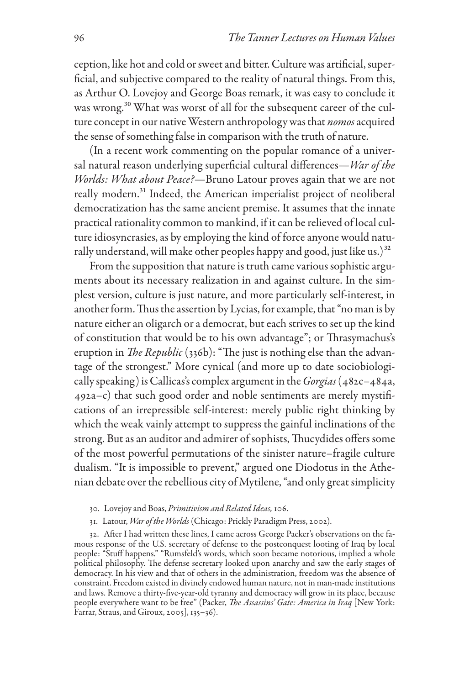ception, like hot and cold or sweet and bitter. Culture was artificial, superficial, and subjective compared to the reality of natural things. From this, as Arthur O. Lovejoy and George Boas remark, it was easy to conclude it was wrong.<sup>30</sup> What was worst of all for the subsequent career of the culture concept in our native Western anthropology was that *nomos* acquired the sense of something false in comparison with the truth of nature.

(In a recent work commenting on the popular romance of a universal natural reason underlying superficial cultural differences—*War of the Worlds: What about Peace?*—Bruno Latour proves again that we are not really modern.<sup>31</sup> Indeed, the American imperialist project of neoliberal democratization has the same ancient premise. It assumes that the innate practical rationality common to mankind, if it can be relieved of local culture idiosyncrasies, as by employing the kind of force anyone would naturally understand, will make other peoples happy and good, just like us.)<sup>32</sup>

From the supposition that nature is truth came various sophistic arguments about its necessary realization in and against culture. In the simplest version, culture is just nature, and more particularly self-interest, in another form. Thus the assertion by Lycias, for example, that "no man is by nature either an oligarch or a democrat, but each strives to set up the kind of constitution that would be to his own advantage"; or Thrasymachus's eruption in *The Republic* (336b): "The just is nothing else than the advantage of the strongest." More cynical (and more up to date sociobiologically speaking) is Callicas's complex argument in the *Gorgias* (482c–484a, 492a–c) that such good order and noble sentiments are merely mystifications of an irrepressible self-interest: merely public right thinking by which the weak vainly attempt to suppress the gainful inclinations of the strong. But as an auditor and admirer of sophists, Thucydides offers some of the most powerful permutations of the sinister nature–fragile culture dualism. "It is impossible to prevent," argued one Diodotus in the Athenian debate over the rebellious city of Mytilene, "and only great simplicity

- 30. Lovejoy and Boas, *Primitivism and Related Ideas,* 106.
- 31. Latour, *War of the Worlds* (Chicago: Prickly Paradigm Press, 2002).

32. After I had written these lines, I came across George Packer's observations on the famous response of the U.S. secretary of defense to the postconquest looting of Iraq by local people: "Stuff happens." "Rumsfeld's words, which soon became notorious, implied a whole political philosophy. The defense secretary looked upon anarchy and saw the early stages of democracy. In his view and that of others in the administration, freedom was the absence of constraint. Freedom existed in divinely endowed human nature, not in man-made institutions and laws. Remove a thirty-five-year-old tyranny and democracy will grow in its place, because people everywhere want to be free" (Packer, *The Assassins' Gate: America in Iraq* [New York: Farrar, Straus, and Giroux, 2005], 135–36).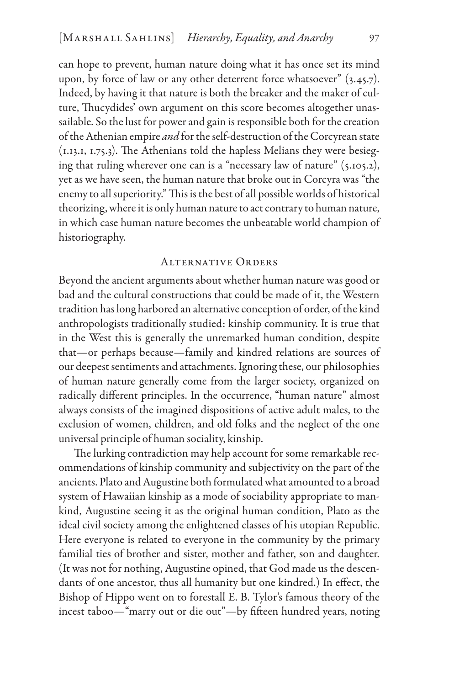can hope to prevent, human nature doing what it has once set its mind upon, by force of law or any other deterrent force whatsoever" (3.45.7). Indeed, by having it that nature is both the breaker and the maker of culture, Thucydides' own argument on this score becomes altogether unassailable. So the lust for power and gain is responsible both for the creation of the Athenian empire *and* for the self-destruction of the Corcyrean state (1.13.1, 1.75.3). The Athenians told the hapless Melians they were besieging that ruling wherever one can is a "necessary law of nature" (5.105.2), yet as we have seen, the human nature that broke out in Corcyra was "the enemy to all superiority." This is the best of all possible worlds of historical theorizing, where it is only human nature to act contrary to human nature, in which case human nature becomes the unbeatable world champion of historiography.

### Alternative Orders

Beyond the ancient arguments about whether human nature was good or bad and the cultural constructions that could be made of it, the Western tradition has long harbored an alternative conception of order, of the kind anthropologists traditionally studied: kinship community. It is true that in the West this is generally the unremarked human condition, despite that—or perhaps because—family and kindred relations are sources of our deepest sentiments and attachments. Ignoring these, our philosophies of human nature generally come from the larger society, organized on radically different principles. In the occurrence, "human nature" almost always consists of the imagined dispositions of active adult males, to the exclusion of women, children, and old folks and the neglect of the one universal principle of human sociality, kinship.

The lurking contradiction may help account for some remarkable recommendations of kinship community and subjectivity on the part of the ancients. Plato and Augustine both formulated what amounted to a broad system of Hawaiian kinship as a mode of sociability appropriate to mankind, Augustine seeing it as the original human condition, Plato as the ideal civil society among the enlightened classes of his utopian Republic. Here everyone is related to everyone in the community by the primary familial ties of brother and sister, mother and father, son and daughter. (It was not for nothing, Augustine opined, that God made us the descendants of one ancestor, thus all humanity but one kindred.) In effect, the Bishop of Hippo went on to forestall E. B. Tylor's famous theory of the incest taboo—"marry out or die out"—by fifteen hundred years, noting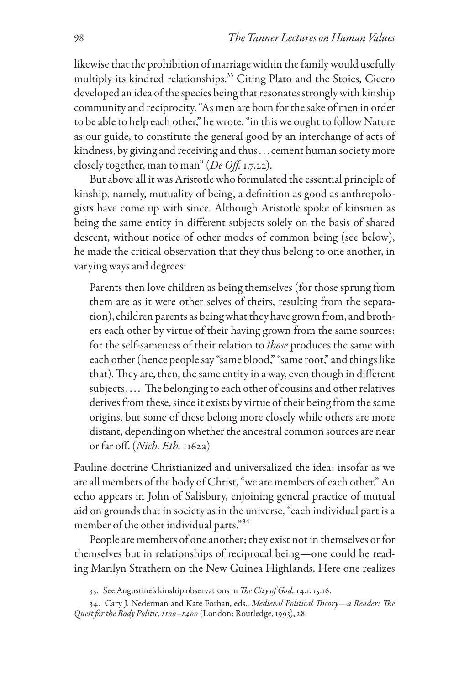likewise that the prohibition of marriage within the family would usefully multiply its kindred relationships.<sup>33</sup> Citing Plato and the Stoics, Cicero developed an idea of the species being that resonates strongly with kinship community and reciprocity. "As men are born for the sake of men in order to be able to help each other," he wrote, "in this we ought to follow Nature as our guide, to constitute the general good by an interchange of acts of kindness, by giving and receiving and thus . . . cement human society more closely together, man to man" (*De Off.* 1.7.22).

But above all it was Aristotle who formulated the essential principle of kinship, namely, mutuality of being, a definition as good as anthropologists have come up with since. Although Aristotle spoke of kinsmen as being the same entity in different subjects solely on the basis of shared descent, without notice of other modes of common being (see below), he made the critical observation that they thus belong to one another, in varying ways and degrees:

Parents then love children as being themselves (for those sprung from them are as it were other selves of theirs, resulting from the separation), children parents as being what they have grown from, and brothers each other by virtue of their having grown from the same sources: for the self-sameness of their relation to *those* produces the same with each other (hence people say "same blood," "same root," and things like that). They are, then, the same entity in a way, even though in different subjects.... The belonging to each other of cousins and other relatives derives from these, since it exists by virtue of their being from the same origins, but some of these belong more closely while others are more distant, depending on whether the ancestral common sources are near or far off. (*Nich. Eth.* 1162a)

Pauline doctrine Christianized and universalized the idea: insofar as we are all members of the body of Christ, "we are members of each other." An echo appears in John of Salisbury, enjoining general practice of mutual aid on grounds that in society as in the universe, "each individual part is a member of the other individual parts."34

People are members of one another; they exist not in themselves or for themselves but in relationships of reciprocal being—one could be reading Marilyn Strathern on the New Guinea Highlands. Here one realizes

<sup>33.</sup> See Augustine's kinship observations in *The City of God,* 14.1, 15.16.

<sup>34.</sup> Cary J. Nederman and Kate Forhan, eds., *Medieval Political Theory—a Reader: The Quest for the Body Politic, 1100–1400* (London: Routledge, 1993), 28.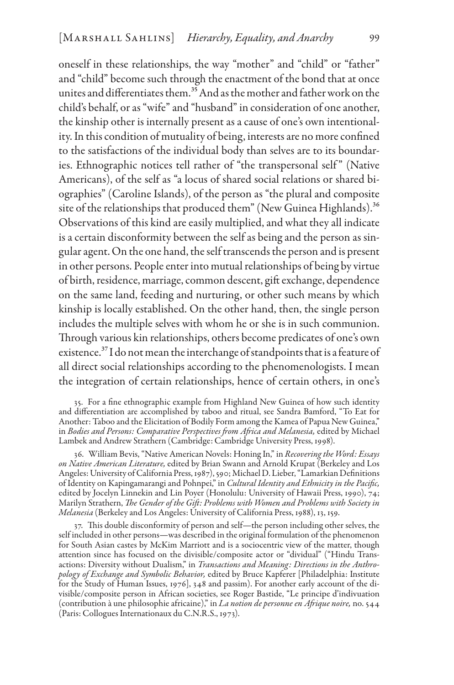oneself in these relationships, the way "mother" and "child" or "father" and "child" become such through the enactment of the bond that at once unites and differentiates them.35And as the mother and father work on the child's behalf, or as "wife" and "husband" in consideration of one another, the kinship other is internally present as a cause of one's own intentionality. In this condition of mutuality of being, interests are no more confined to the satisfactions of the individual body than selves are to its boundaries. Ethnographic notices tell rather of "the transpersonal self" (Native Americans), of the self as "a locus of shared social relations or shared biographies" (Caroline Islands), of the person as "the plural and composite site of the relationships that produced them" (New Guinea Highlands).<sup>36</sup> Observations of this kind are easily multiplied, and what they all indicate is a certain disconformity between the self as being and the person as singular agent. On the one hand, the self transcends the person and is present in other persons. People enter into mutual relationships of being by virtue of birth, residence, marriage, common descent, gift exchange, dependence on the same land, feeding and nurturing, or other such means by which kinship is locally established. On the other hand, then, the single person includes the multiple selves with whom he or she is in such communion. Through various kin relationships, others become predicates of one's own existence.37 I do not mean the interchange of standpoints that is afeature of all direct social relationships according to the phenomenologists. I mean the integration of certain relationships, hence of certain others, in one's

35. For a fine ethnographic example from Highland New Guinea of how such identity and differentiation are accomplished by taboo and ritual, see Sandra Bamford, "To Eat for Another: Taboo and the Elicitation of Bodily Form among the Kamea of Papua New Guinea," in *Bodies and Persons: Comparative Perspectives from Africa and Melanesia,* edited by Michael Lambek and Andrew Strathern (Cambridge: Cambridge University Press, 1998).

36. William Bevis, "Native American Novels: Honing In," in *Recovering the Word: Essays on Native American Literature,* edited by Brian Swann and Arnold Krupat (Berkeley and Los Angeles: University of California Press, 1987), 590; Michael D. Lieber, "Lamarkian Definitions of Identity on Kapingamarangi and Pohnpei," in *Cultural Identity and Ethnicity in the Pacific,* edited by Jocelyn Linnekin and Lin Poyer (Honolulu: University of Hawaii Press, 1990), 74; Marilyn Strathern, *The Gender of the Gift: Problems with Women and Problems with Society in Melanesia* (Berkeley and Los Angeles: University of California Press, 1988), 13, 159.

37. This double disconformity of person and self—the person including other selves, the self included in other persons—was described in the original formulation of the phenomenon for South Asian castes by McKim Marriott and is a sociocentric view of the matter, though attention since has focused on the divisible/composite actor or "dividual" ("Hindu Transactions: Diversity without Dualism," in *Transactions and Meaning: Directions in the Anthropology of Exchange and Symbolic Behavior,* edited by Bruce Kapferer [Philadelphia: Institute for the Study of Human Issues, 1976], 348 and passim). For another early account of the divisible/composite person in African societies, see Roger Bastide, "Le principe d'indivuation (contribution à une philosophie africaine)," in *La notion de personne en Afrique noire,* no. 544 (Paris: Collogues Internationaux du C.N.R.S., 1973).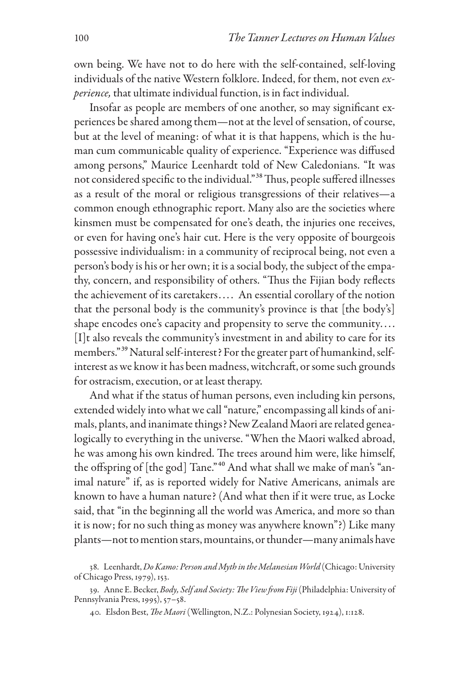own being. We have not to do here with the self-contained, self-lovingindividuals of the native Western folklore. Indeed, for them, not even *experience,* that ultimate individual function, is in fact individual.

Insofar as people are members of one another, so may significant experiences be shared among them—not at the level of sensation, of course, but at the level of meaning: of what it is that happens, which is the human cum communicable quality of experience. "Experience was diffused among persons," Maurice Leenhardt told of New Caledonians. "It was not considered specific to the individual."38 Thus, people suffered illnesses as a result of the moral or religious transgressions of their relatives—a common enough ethnographic report. Many also are the societies where kinsmen must be compensated for one's death, the injuries one receives, or even for having one's hair cut. Here is the very opposite of bourgeois possessive individualism: in a community of reciprocal being, not even a person's body is his or her own; it is a social body, the subject of the empathy, concern, and responsibility of others. "Thus the Fijian body reflects the achievement of its caretakers.... An essential corollary of the notion that the personal body is the community's province is that [the body's] shape encodes one's capacity and propensity to serve the community. . . . [I]t also reveals the community's investment in and ability to care for its members."<sup>39</sup> Natural self-interest? For the greater part of humankind, selfinterest as we know it has been madness, witchcraft, or some such grounds for ostracism, execution, or at least therapy.

And what if the status of human persons, even including kin persons, extended widely into what we call "nature," encompassing all kinds of animals, plants, and inanimate things? New Zealand Maori are related genealogically to everything in the universe. "When the Maori walked abroad, he was among his own kindred. The trees around him were, like himself, the offspring of [the god] Tane."<sup>40</sup> And what shall we make of man's "animal nature" if, as is reported widely for Native Americans, animals are known to have a human nature? (And what then if it were true, as Locke said, that "in the beginning all the world was America, and more so than it is now; for no such thing as money was anywhere known"?) Like many plants—not to mention stars, mountains, or thunder—many animals have

<sup>38.</sup> Leenhardt, *Do Kamo: Person and Myth in the Melanesian World* (Chicago: University of Chicago Press, 1979), 153.

<sup>39.</sup> Anne E. Becker, *Body, Self and Society: The View from Fiji* (Philadelphia: University of Pennsylvania Press, 1995), 57–58.

<sup>40.</sup> Elsdon Best, *The Maori* (Wellington, N.Z.: Polynesian Society, 1924), 1:128.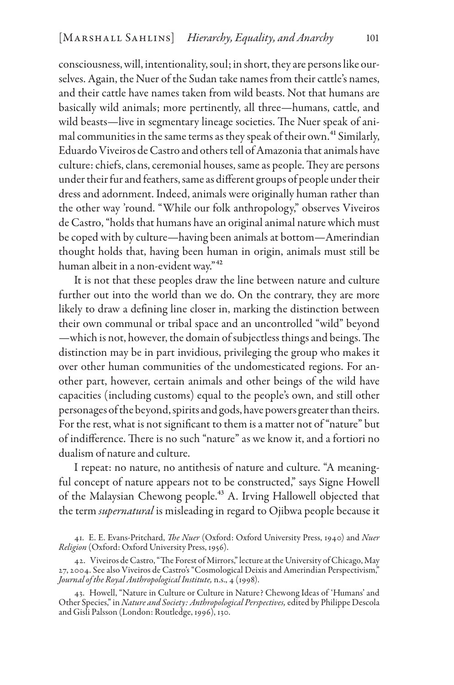consciousness, will, intentionality, soul; in short, they are persons like ourselves. Again, the Nuer of the Sudan take names from their cattle's names, and their cattle have names taken from wild beasts. Not that humans are basically wild animals; more pertinently, all three—humans, cattle, and wild beasts—live in segmentary lineage societies. The Nuer speak of animal communities in the same terms as they speak of their own.<sup>41</sup> Similarly, Eduardo Viveiros de Castro and others tell of Amazonia that animals have culture: chiefs, clans, ceremonial houses, same as people. They are persons under their fur and feathers, same as different groups of people under their dress and adornment. Indeed, animals were originally human rather than the other way 'round. "While our folk anthropology," observes Viveiros de Castro, "holds that humans have an original animal nature which must be coped with by culture—having been animals at bottom—Amerindian thought holds that, having been human in origin, animals must still be human albeit in a non-evident way."<sup>42</sup>

It is not that these peoples draw the line between nature and culture further out into the world than we do. On the contrary, they are more likely to draw a defining line closer in, marking the distinction between their own communal or tribal space and an uncontrolled "wild" beyond —which is not, however, the domain of subjectless things and beings. The distinction may be in part invidious, privileging the group who makes it over other human communities of the undomesticated regions. For another part, however, certain animals and other beings of the wild have capacities (including customs) equal to the people's own, and still other personages of the beyond, spirits and gods, have powers greater than theirs. For the rest, what is not significant to them is a matter not of "nature" but of indifference. There is no such "nature" as we know it, and a fortiori no dualism of nature and culture.

I repeat: no nature, no antithesis of nature and culture. "A meaningful concept of nature appears not to be constructed," says Signe Howell of the Malaysian Chewong people.<sup>43</sup> A. Irving Hallowell objected that the term *supernatural* is misleading in regard to Ojibwa people because it

<sup>41.</sup> E. E. Evans-Pritchard, *The Nuer* (Oxford: Oxford University Press, 1940) and *Nuer Religion* (Oxford: Oxford University Press, 1956).

<sup>42.</sup> Viveiros de Castro, "The Forest of Mirrors," lecture at the University of Chicago, May 27, 2004. See also Viveiros de Castro's "Cosmological Deixis and Amerindian Perspectivism," *Journal of the Royal Anthropological Institute,* n.s., 4 (1998).

<sup>43.</sup> Howell, "Nature in Culture or Culture in Nature? Chewong Ideas of 'Humans' and Other Species," in *Nature and Society: Anthropological Perspectives,* edited by Philippe Descola and Gisli Palsson (London: Routledge, 1996), 130.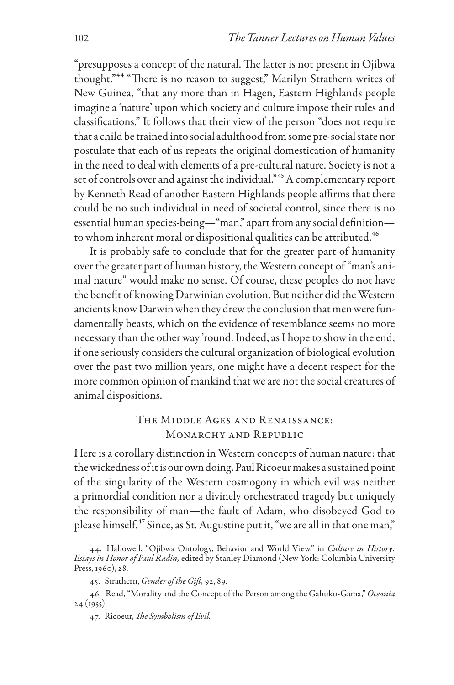"presupposes a concept of the natural. The latter is not present in Ojibwa thought."44 "There is no reason to suggest," Marilyn Strathern writes of New Guinea, "that any more than in Hagen, Eastern Highlands people imagine a 'nature' upon which society and culture impose their rules and classifications." It follows that their view of the person "does not require that a child be trained into social adulthood from some pre-social state nor postulate that each of us repeats the original domestication of humanity in the need to deal with elements of a pre-cultural nature. Society is not a set of controls over and against the individual."<sup>45</sup> A complementary report by Kenneth Read of another Eastern Highlands people affirms that there could be no such individual in need of societal control, since there is no essential human species-being—"man," apart from any social definition to whom inherent moral or dispositional qualities can be attributed.<sup>46</sup>

It is probably safe to conclude that for the greater part of humanity over the greater part of human history, the Western concept of "man's animal nature" would make no sense. Of course, these peoples do not have the benefit of knowing Darwinian evolution. But neither did the Western ancients know Darwin when they drew the conclusion that men were fundamentally beasts, which on the evidence of resemblance seems no more necessary than the other way 'round. Indeed, as I hope to show in the end, if one seriously considers the cultural organization of biological evolution over the past two million years, one might have a decent respect for the more common opinion of mankind that we are not the social creatures of animal dispositions.

# The Middle Ages and Renaissance: MONARCHY AND REPUBLIC

Here is a corollary distinction in Western concepts of human nature: that the wickedness of it is our own doing. Paul Ricoeur makes a sustained point of the singularity of the Western cosmogony in which evil was neither a primordial condition nor a divinely orchestrated tragedy but uniquely the responsibility of man—the fault of Adam, who disobeyed God to please himself.<sup>47</sup> Since, as St. Augustine put it, "we are all in that one man,"

47. Ricoeur, *The Symbolism of Evil.*

<sup>44.</sup> Hallowell, "Ojibwa Ontology, Behavior and World View," in *Culture in History: Essays in Honor of Paul Radin,* edited by Stanley Diamond (New York: Columbia University Press, 1960), 28.

<sup>45.</sup> Strathern, *Gender of the Gift,* 92, 89.

<sup>46.</sup> Read, "Morality and the Concept of the Person among the Gahuku-Gama," *Oceania* 24 (1955).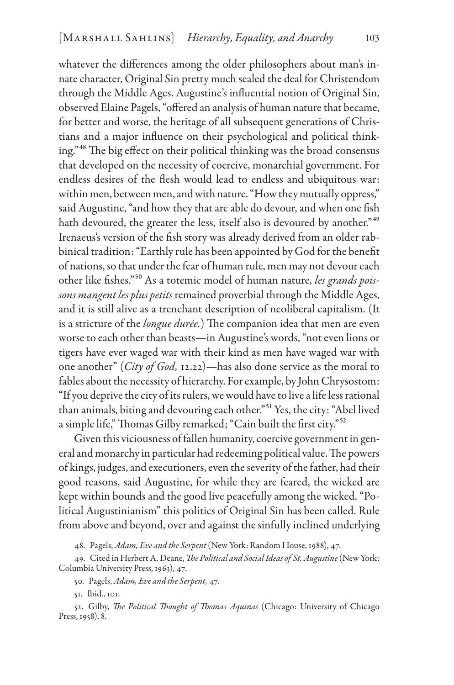whatever the differences among the older philosophers about man's innate character, Original Sin pretty much sealed the deal for Christendom through the Middle Ages. Augustine's influential notion of Original Sin, observed Elaine Pagels, "offered an analysis of human nature that became, for better and worse, the heritage of all subsequent generations of Christians and a major influence on their psychological and political thinking."48 The big effect on their political thinking was the broad consensus that developed on the necessity of coercive, monarchial government. For endless desires of the flesh would lead to endless and ubiquitous war: within men, between men, and with nature. "How they mutually oppress," said Augustine, "and how they that are able do devour, and when one fish hath devoured, the greater the less, itself also is devoured by another."<sup>49</sup> Irenaeus's version of the fish story was already derived from an older rabbinical tradition: "Earthly rule has been appointed by God for the benefit of nations, so that under the fear of human rule, men may not devour each other like fishes."50 As a totemic model of human nature, *les grands poissons mangent les plus petits* remained proverbial through the Middle Ages, and it is still alive as a trenchant description of neoliberal capitalism. (It is a stricture of the *longue durée.*) The companion idea that men are even worse to each other than beasts—in Augustine's words, "not even lions or tigers have ever waged war with their kind as men have waged war with one another" (*City of God,* 12.22)—has also done service as the moral to fables about the necessity of hierarchy. For example, by John Chrysostom: "If you deprive the city of its rulers, we would have to live a life less rational than animals, biting and devouring each other."51 Yes, the city: "Abel lived a simple life," Thomas Gilby remarked; "Cain built the first city."52

Given this viciousness of fallen humanity, coercive government in general and monarchy in particular had redeeming political value. The powers of kings, judges, and executioners, even the severity of the father, had their good reasons, said Augustine, for while they are feared, the wicked are kept within bounds and the good live peacefully among the wicked. "Political Augustinianism" this politics of Original Sin has been called. Rule from above and beyond, over and against the sinfully inclined underlying

48. Pagels, *Adam, Eve and the Serpent* (New York: Random House, 1988), 47.

49. Cited in Herbert A. Deane, *The Political and Social Ideas of St. Augustine* (New York: Columbia University Press, 1963), 47.

50. Pagels, *Adam, Eve and the Serpent,* 47.

51. Ibid., 101.

52. Gilby, *The Political Thought of Thomas Aquinas* (Chicago: University of Chicago Press, 1958), 8.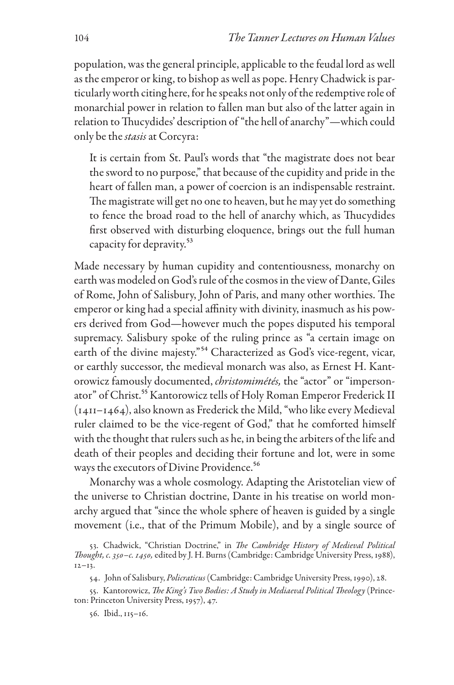population, was the general principle, applicable to the feudal lord as well as the emperor or king, to bishop as well as pope. Henry Chadwick is particularly worth citing here, for he speaks not only of the redemptive role of monarchial power in relation to fallen man but also of the latter again in relation to Thucydides' description of "the hell of anarchy"—which could only be the *stasis* at Corcyra:

It is certain from St. Paul's words that "the magistrate does not bear the sword to no purpose," that because of the cupidity and pride in the heart of fallen man, a power of coercion is an indispensable restraint. The magistrate will get no one to heaven, but he may yet do something to fence the broad road to the hell of anarchy which, as Thucydides first observed with disturbing eloquence, brings out the full human capacity for depravity.53

Made necessary by human cupidity and contentiousness, monarchy on earth was modeled on God's rule of the cosmos in the view of Dante, Giles of Rome, John of Salisbury, John of Paris, and many other worthies. The emperor or king had a special affinity with divinity, inasmuch as his powers derived from God—however much the popes disputed his temporal supremacy. Salisbury spoke of the ruling prince as "a certain image on earth of the divine majesty."<sup>54</sup> Characterized as God's vice-regent, vicar, or earthly successor, the medieval monarch was also, as Ernest H. Kantorowicz famously documented, *christomimétés,* the "actor" or "impersonator" of Christ.<sup>55</sup> Kantorowicz tells of Holy Roman Emperor Frederick II (1411–1464), also known as Frederick the Mild, "who like every Medieval ruler claimed to be the vice-regent of God," that he comforted himself with the thought that rulers such as he, in being the arbiters of the life and death of their peoples and deciding their fortune and lot, were in some ways the executors of Divine Providence.<sup>56</sup>

Monarchy was a whole cosmology. Adapting the Aristotelian view of the universe to Christian doctrine, Dante in his treatise on world monarchy argued that "since the whole sphere of heaven is guided by a single movement (i.e., that of the Primum Mobile), and by a single source of

54. John of Salisbury, *Policraticus* (Cambridge: Cambridge University Press, 1990), 28.

55. Kantorowicz, *The King's Two Bodies: A Study in Mediaeval Political Theology* (Princeton: Princeton University Press, 1957), 47.

56. Ibid., 115–16.

<sup>53.</sup> Chadwick, "Christian Doctrine," in *The Cambridge History of Medieval Political Thought, c. 350–c. 1450,* edited by J. H. Burns (Cambridge: Cambridge University Press, 1988),  $12 - 13$ .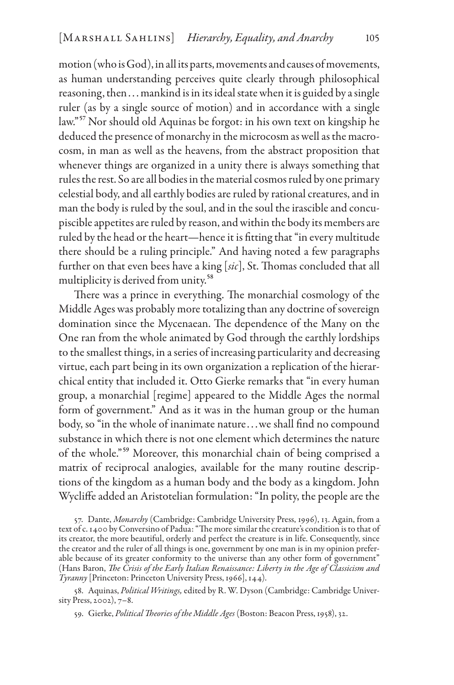motion (who is God), in all its parts, movements and causes of movements, as human understanding perceives quite clearly through philosophical reasoning, then . . . mankind is in its ideal state when it is guided by a single ruler (as by a single source of motion) and in accordance with a single law."57 Nor should old Aquinas be forgot: in his own text on kingship he deduced the presence of monarchy in the microcosm as well as the macrocosm, in man as well as the heavens, from the abstract proposition that whenever things are organized in a unity there is always something that rules the rest. So are all bodies in the material cosmos ruled by one primary celestial body, and all earthly bodies are ruled by rational creatures, and in man the body is ruled by the soul, and in the soul the irascible and concupiscible appetites are ruled by reason, and within the body its members are ruled by the head or the heart—hence it is fitting that "in every multitude there should be a ruling principle." And having noted a few paragraphs further on that even bees have a king [*sic*], St. Thomas concluded that all multiplicity is derived from unity.<sup>58</sup>

There was a prince in everything. The monarchial cosmology of the Middle Ages was probably more totalizing than any doctrine of sovereign domination since the Mycenaean. The dependence of the Many on the One ran from the whole animated by God through the earthly lordships to the smallest things, in a series of increasing particularity and decreasing virtue, each part being in its own organization a replication of the hierarchical entity that included it. Otto Gierke remarks that "in every human group, a monarchial [regime] appeared to the Middle Ages the normal form of government." And as it was in the human group or the human body, so "in the whole of inanimate nature . . . we shall find no compound substance in which there is not one element which determines the nature of the whole."59 Moreover, this monarchial chain of being comprised a matrix of reciprocal analogies, available for the many routine descriptions of the kingdom as a human body and the body as a kingdom. John Wycliffe added an Aristotelian formulation: "In polity, the people are the

57. Dante, *Monarchy* (Cambridge: Cambridge University Press, 1996), 13. Again, from a text of c. 1400 by Conversino of Padua: "The more similar the creature's condition is to that of its creator, the more beautiful, orderly and perfect the creature is in life. Consequently, since the creator and the ruler of all things is one, government by one man is in my opinion preferable because of its greater conformity to the universe than any other form of government" (Hans Baron, *The Crisis of the Early Italian Renaissance: Liberty in the Age of Classicism and Tyranny* [Princeton: Princeton University Press, 1966], 144).

58. Aquinas, *Political Writings,* edited by R. W. Dyson (Cambridge: Cambridge University Press, 2002), 7–8.

59. Gierke, *Political Theories of the Middle Ages* (Boston: Beacon Press, 1958), 32.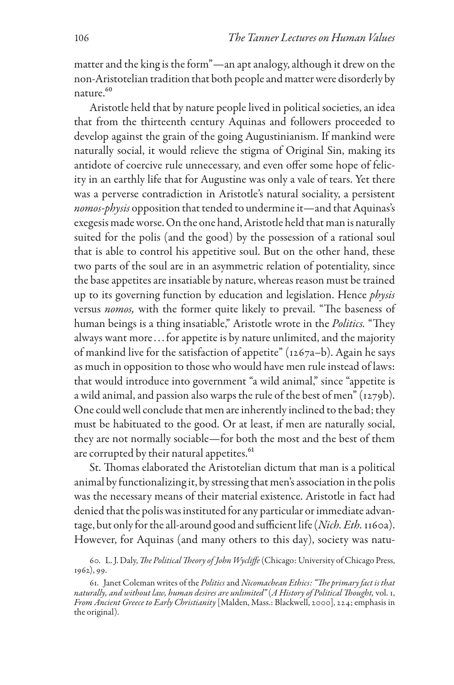matter and the king is the form"—an apt analogy, although it drew on the non-Aristotelian tradition that both people and matter were disorderly by nature.<sup>60</sup>

Aristotle held that by nature people lived in political societies, an idea that from the thirteenth century Aquinas and followers proceeded to develop against the grain of the going Augustinianism. If mankind were naturally social, it would relieve the stigma of Original Sin, making its antidote of coercive rule unnecessary, and even offer some hope of felicity in an earthly life that for Augustine was only a vale of tears. Yet there was a perverse contradiction in Aristotle's natural sociality, a persistent *nomos-physis* opposition that tended to undermine it—and that Aquinas's exegesis made worse. On the one hand, Aristotle held that man is naturally suited for the polis (and the good) by the possession of a rational soul that is able to control his appetitive soul. But on the other hand, these two parts of the soul are in an asymmetric relation of potentiality, since the base appetites are insatiable by nature, whereas reason must be trained up to its governing function by education and legislation. Hence *physis* versus *nomos,* with the former quite likely to prevail. "The baseness of human beings is a thing insatiable," Aristotle wrote in the *Politics.* "They always want more . . . for appetite is by nature unlimited, and the majority of mankind live for the satisfaction of appetite" (1267a–b). Again he says as much in opposition to those who would have men rule instead of laws: that would introduce into government "a wild animal," since "appetite is a wild animal, and passion also warps the rule of the best of men" (1279b). One could well conclude that men are inherently inclined to the bad; they must be habituated to the good. Or at least, if men are naturally social, they are not normally sociable—for both the most and the best of them are corrupted by their natural appetites.<sup>61</sup>

St. Thomas elaborated the Aristotelian dictum that man is a political animal by functionalizing it, by stressing that men's association in the polis was the necessary means of their material existence. Aristotle in fact had denied that the polis was instituted for any particular or immediate advantage, but only for the all-around good and sufficient life (*Nich. Eth.* 1160a). However, for Aquinas (and many others to this day), society was natu-

<sup>60.</sup> L. J. Daly, *The Political Theory of John Wycliffe* (Chicago: University of Chicago Press, 1962), 99.

<sup>61.</sup> Janet Coleman writes of the *Politics* and *Nicomachean Ethics: "The primary fact is that naturally, and without law, human desires are unlimited"* (*A History of Political Thought,* vol. 1, *From Ancient Greece to Early Christianity* [Malden, Mass.: Blackwell, 2000], 224; emphasis in the original).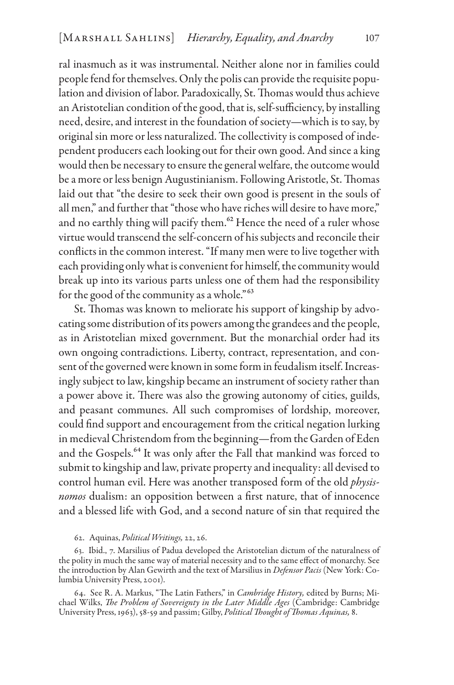ral inasmuch as it was instrumental. Neither alone nor in families could people fend for themselves. Only the polis can provide the requisite population and division of labor. Paradoxically, St. Thomas would thus achieve an Aristotelian condition of the good, that is, self-sufficiency, by installing need, desire, and interest in the foundation of society—which is to say, by original sin more or less naturalized. The collectivity is composed of independent producers each looking out for their own good. And since a king would then be necessary to ensure the general welfare, the outcome would be a more or less benign Augustinianism. Following Aristotle, St. Thomas laid out that "the desire to seek their own good is present in the souls of all men," and further that "those who have riches will desire to have more," and no earthly thing will pacify them.<sup>62</sup> Hence the need of a ruler whose virtue would transcend the self-concern of his subjects and reconcile their conflicts in the common interest. "If many men were to live together with each providing only what is convenient for himself, the community would break up into its various parts unless one of them had the responsibility for the good of the community as a whole."<sup>63</sup>

St. Thomas was known to meliorate his support of kingship by advocating some distribution of its powers among the grandees and the people, as in Aristotelian mixed government. But the monarchial order had its own ongoing contradictions. Liberty, contract, representation, and consent of the governed were known in some form in feudalism itself. Increasingly subject to law, kingship became an instrument of society rather than a power above it. There was also the growing autonomy of cities, guilds, and peasant communes. All such compromises of lordship, moreover, could find support and encouragement from the critical negation lurking in medieval Christendom from the beginning—from the Garden of Eden and the Gospels.<sup>64</sup> It was only after the Fall that mankind was forced to submit to kingship and law, private property and inequality: all devised to control human evil. Here was another transposed form of the old *physisnomos* dualism: an opposition between a first nature, that of innocence and a blessed life with God, and a second nature of sin that required the

#### 62. Aquinas, *Political Writings,* 22, 26.

63. Ibid., 7. Marsilius of Padua developed the Aristotelian dictum of the naturalness of the polity in much the same way of material necessity and to the same effect of monarchy. See the introduction by Alan Gewirth and the text of Marsilius in *Defensor Pacis* (New York: Columbia University Press, 2001).

64. See R. A. Markus, "The Latin Fathers," in *Cambridge History,* edited by Burns; Michael Wilks, *The Problem of Sovereignty in the Later Middle Ages* (Cambridge: Cambridge University Press, 1963), 58-59 and passim; Gilby, *Political Thought of Thomas Aquinas,* 8.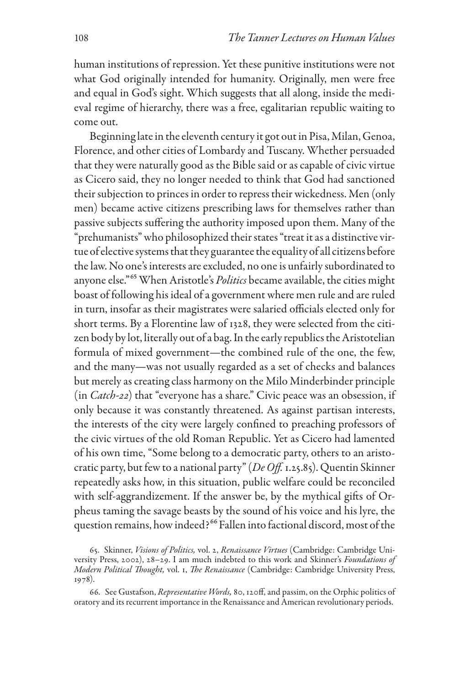human institutions of repression. Yet these punitive institutions were not what God originally intended for humanity. Originally, men were free and equal in God's sight. Which suggests that all along, inside the medieval regime of hierarchy, there was a free, egalitarian republic waiting to come out.

Beginning late in the eleventh century it got out in Pisa, Milan, Genoa, Florence, and other cities of Lombardy and Tuscany. Whether persuaded that they were naturally good as the Bible said or as capable of civic virtue as Cicero said, they no longer needed to think that God had sanctioned their subjection to princes in order to repress their wickedness. Men (only men) became active citizens prescribing laws for themselves rather than passive subjects suffering the authority imposed upon them. Many of the "prehumanists" who philosophized their states "treat it as a distinctive virtue of elective systems that they guarantee the equality of all citizens before the law. No one's interests are excluded, no one is unfairly subordinated to anyone else."<sup>65</sup> When Aristotle's *Politics* became available, the cities might boast of following his ideal of a government where men rule and are ruled in turn, insofar as their magistrates were salaried officials elected only for short terms. By a Florentine law of 1328, they were selected from the citizen body by lot, literally out of a bag. In the early republics the Aristotelian formula of mixed government—the combined rule of the one, the few, and the many—was not usually regarded as a set of checks and balances but merely as creating class harmony on the Milo Minderbinder principle (in *Catch-22*) that "everyone has a share." Civic peace was an obsession, if only because it was constantly threatened. As against partisan interests, the interests of the city were largely confined to preaching professors of the civic virtues of the old Roman Republic. Yet as Cicero had lamented of his own time, "Some belong to a democratic party, others to an aristocratic party, but few to a national party" (*De Off.* 1.25.85). Quentin Skinner repeatedly asks how, in this situation, public welfare could be reconciled with self-aggrandizement. If the answer be, by the mythical gifts of Orpheus taming the savage beasts by the sound of his voice and his lyre, the question remains, how indeed?<sup>66</sup> Fallen into factional discord, most of the

<sup>65.</sup> Skinner, *Visions of Politics,* vol. 2, *Renaissance Virtues* (Cambridge: Cambridge University Press, 2002), 28–29. I am much indebted to this work and Skinner's *Foundations of Modern Political Thought,* vol. 1, *The Renaissance* (Cambridge: Cambridge University Press, 1978).

<sup>66.</sup> See Gustafson, *Representative Words,* 80, 120ff, and passim, on the Orphic politics of oratory and its recurrent importance in the Renaissance and American revolutionary periods.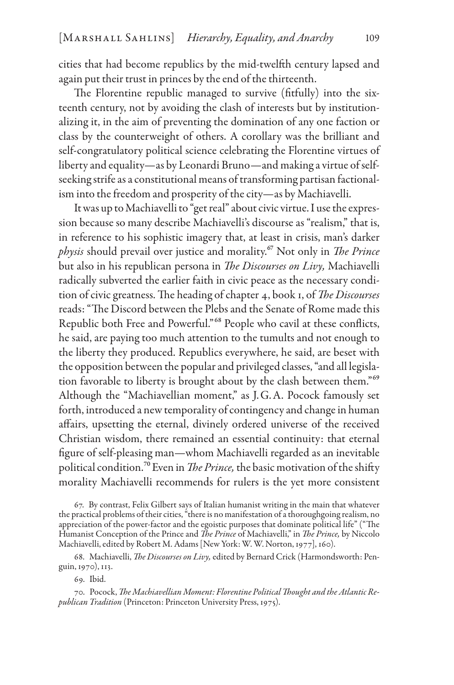cities that had become republics by the mid-twelfth century lapsed and again put their trust in princes by the end of the thirteenth.

The Florentine republic managed to survive (fitfully) into the sixteenth century, not by avoiding the clash of interests but by institutionalizing it, in the aim of preventing the domination of any one faction or class by the counterweight of others. A corollary was the brilliant and self-congratulatory political science celebrating the Florentine virtues of liberty and equality—as by Leonardi Bruno—and making a virtue of selfseeking strife as a constitutional means of transforming partisan factionalism into the freedom and prosperity of the city—as by Machiavelli.

It was up to Machiavelli to "get real" about civic virtue. I use the expression because so many describe Machiavelli's discourse as "realism," that is, in reference to his sophistic imagery that, at least in crisis, man's darker *physis* should prevail over justice and morality.67 Not only in *The Prince* but also in his republican persona in *The Discourses on Livy,* Machiavelli radically subverted the earlier faith in civic peace as the necessary condition of civic greatness. The heading of chapter 4, book 1, of *The Discourses* reads: "The Discord between the Plebs and the Senate of Rome made this Republic both Free and Powerful."68 People who cavil at these conflicts, he said, are paying too much attention to the tumults and not enough to the liberty they produced. Republics everywhere, he said, are beset with the opposition between the popular and privileged classes, "and all legislation favorable to liberty is brought about by the clash between them."<sup>69</sup> Although the "Machiavellian moment," as J.G.A. Pocock famously set forth, introduced a new temporality of contingency and change in human affairs, upsetting the eternal, divinely ordered universe of the received Christian wisdom, there remained an essential continuity: that eternal figure of self-pleasing man—whom Machiavelli regarded as an inevitable political condition.<sup>70</sup> Even in *The Prince*, the basic motivation of the shifty morality Machiavelli recommends for rulers is the yet more consistent

67. By contrast, Felix Gilbert says of Italian humanist writing in the main that whatever the practical problems of their cities, "there is no manifestation of a thoroughgoing realism, no appreciation of the power-factor and the egoistic purposes that dominate political life" ("The Humanist Conception of the Prince and *The Prince* of Machiavelli," in *The Prince,* by Niccolo Machiavelli, edited by Robert M. Adams [New York: W. W. Norton, 1977], 160).

68. Machiavelli, *The Discourses on Livy,* edited by Bernard Crick (Harmondsworth: Penguin, 1970), 113.

69. Ibid.

70. Pocock, *The Machiavellian Moment: Florentine Political Thought and the Atlantic Republican Tradition* (Princeton: Princeton University Press, 1975).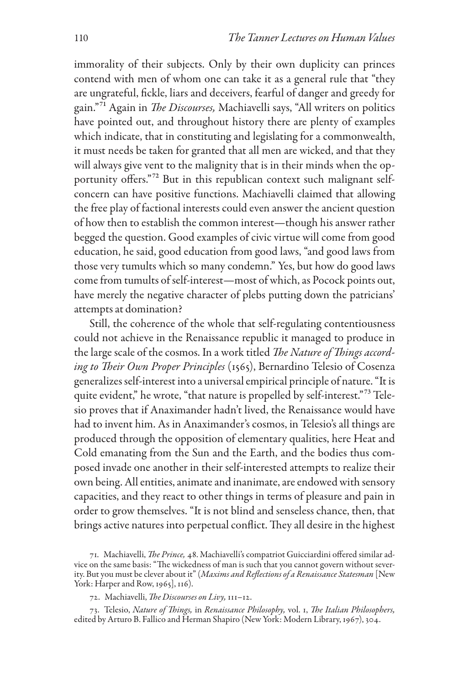immorality of their subjects. Only by their own duplicity can princes contend with men of whom one can take it as a general rule that "they are ungrateful, fickle, liars and deceivers, fearful of danger and greedy for gain."71 Again in *The Discourses,* Machiavelli says, "All writers on politics have pointed out, and throughout history there are plenty of examples which indicate, that in constituting and legislating for a commonwealth, it must needs be taken for granted that all men are wicked, and that they will always give vent to the malignity that is in their minds when the opportunity offers."72 But in this republican context such malignant selfconcern can have positive functions. Machiavelli claimed that allowing the free play of factional interests could even answer the ancient question of how then to establish the common interest—though his answer rather begged the question. Good examples of civic virtue will come from good education, he said, good education from good laws, "and good laws from those very tumults which so many condemn." Yes, but how do good laws come from tumults of self-interest—most of which, as Pocock points out, have merely the negative character of plebs putting down the patricians' attempts at domination?

Still, the coherence of the whole that self-regulating contentiousness could not achieve in the Renaissance republic it managed to produce in the large scale of the cosmos. In a work titled *The Nature of Things according to Their Own Proper Principles* (1565), Bernardino Telesio of Cosenza generalizes self-interest into a universal empirical principle of nature. "It is quite evident," he wrote, "that nature is propelled by self-interest."<sup>73</sup> Telesio proves that if Anaximander hadn't lived, the Renaissance would have had to invent him. As in Anaximander's cosmos, in Telesio's all things are produced through the opposition of elementary qualities, here Heat and Cold emanating from the Sun and the Earth, and the bodies thus composed invade one another in their self-interested attempts to realize their own being. All entities, animate and inanimate, are endowed with sensory capacities, and they react to other things in terms of pleasure and pain in order to grow themselves. "It is not blind and senseless chance, then, that brings active natures into perpetual conflict. They all desire in the highest

<sup>71.</sup> Machiavelli, *The Prince,* 48. Machiavelli's compatriot Guicciardini offered similar advice on the same basis: "The wickedness of man is such that you cannot govern without severity. But you must be clever about it" (*Maxims and Reflections of a Renaissance Statesman* [New York: Harper and Row, 1965], 116).

<sup>72.</sup> Machiavelli, *The Discourses on Livy,* 111–12.

<sup>73.</sup> Telesio, *Nature of Things,* in *Renaissance Philosophy,* vol. 1, *The Italian Philosophers,* edited by Arturo B. Fallico and Herman Shapiro (New York: Modern Library, 1967), 304.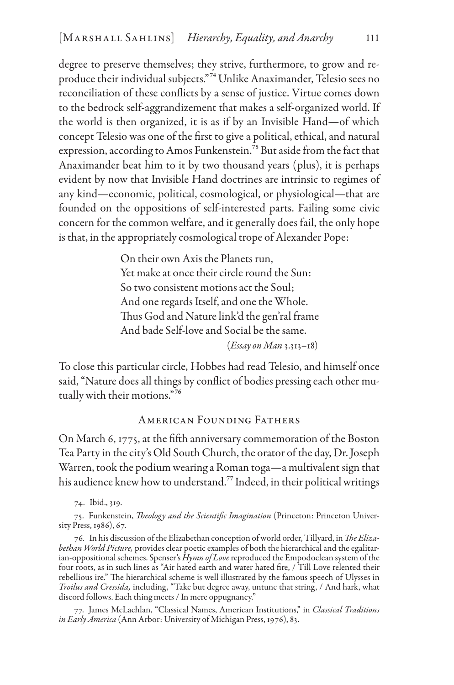degree to preserve themselves; they strive, furthermore, to grow and reproduce their individual subjects."74Unlike Anaximander, Telesio sees no reconciliation of these conflicts by a sense of justice. Virtue comes down to the bedrock self-aggrandizement that makes a self-organized world. If the world is then organized, it is as if by an Invisible Hand—of which concept Telesio was one of the first to give a political, ethical, and natural expression, according to Amos Funkenstein.75 But aside from the fact that Anaximander beat him to it by two thousand years (plus), it is perhaps evident by now that Invisible Hand doctrines are intrinsic to regimes of any kind—economic, political, cosmological, or physiological—that are founded on the oppositions of self-interested parts. Failing some civic concern for the common welfare, and it generally does fail, the only hope is that, in the appropriately cosmological trope of Alexander Pope:

> On their own Axis the Planets run, Yet make at once their circle round the Sun: So two consistent motions act the Soul; And one regards Itself, and one the Whole. Thus God and Nature link'd the gen'ral frame And bade Self-love and Social be the same.

(*Essay on Man* 3.313–18)

To close this particular circle, Hobbes had read Telesio, and himself once said, "Nature does all things by conflict of bodies pressing each other mutually with their motions."76

## American Founding Fathers

On March 6, 1775, at the fifth anniversary commemoration of the Boston Tea Party in the city's Old South Church, the orator of the day, Dr. Joseph Warren, took the podium wearing a Roman toga—a multivalent sign that his audience knew how to understand.<sup>77</sup> Indeed, in their political writings

74. Ibid., 319.

75. Funkenstein, *Theology and the Scientific Imagination* (Princeton: Princeton University Press, 1986), 67.

76. In his discussion of the Elizabethan conception of world order, Tillyard, in *The Elizabethan World Picture,* provides clear poetic examples of both the hierarchical and the egalitarian-oppositional schemes. Spenser's *Hymn of Love* reproduced the Empodoclean system of the four roots, as in such lines as "Air hated earth and water hated fire, / Till Love relented their rebellious ire." The hierarchical scheme is well illustrated by the famous speech of Ulysses in *Troilus and Cressida,* including, "Take but degree away, untune that string, / And hark, what discord follows. Each thing meets / In mere oppugnancy."

77. James McLachlan, "Classical Names, American Institutions," in *Classical Traditions in Early America* (Ann Arbor: University of Michigan Press, 1976), 83.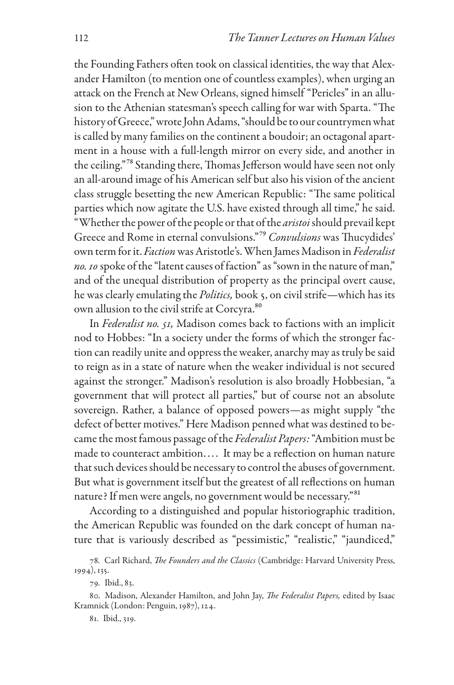the Founding Fathers often took on classical identities, the way that Alexander Hamilton (to mention one of countless examples), when urging an attack on the French at New Orleans, signed himself "Pericles" in an allusion to the Athenian statesman's speech calling for war with Sparta. "The history of Greece," wrote John Adams, "should be to our countrymen what is called by many families on the continent a boudoir; an octagonal apartment in a house with a full-length mirror on every side, and another in the ceiling."78 Standing there, Thomas Jefferson would have seen not only an all-around image of his American self but also his vision of the ancient class struggle besetting the new American Republic: "The same political parties which now agitate the U.S. have existed through all time," he said. "Whether the power of the people or that of the *aristoi* should prevail kept Greece and Rome in eternal convulsions."79 *Convulsions* was Thucydides' own term for it. *Faction* was Aristotle's. When James Madison in *Federalist no. 10* spoke of the "latent causes of faction" as "sown in the nature of man," and of the unequal distribution of property as the principal overt cause, he was clearly emulating the *Politics,* book 5, on civil strife—which has its own allusion to the civil strife at Corcyra. 80

In *Federalist no. 51,* Madison comes back to factions with an implicit nod to Hobbes: "In a society under the forms of which the stronger faction can readily unite and oppress the weaker, anarchy may as truly be said to reign as in a state of nature when the weaker individual is not secured against the stronger." Madison's resolution is also broadly Hobbesian, "a government that will protect all parties," but of course not an absolute sovereign. Rather, a balance of opposed powers—as might supply "the defect of better motives." Here Madison penned what was destined to became the most famous passage of the *Federalist Papers:* "Ambition must be made to counteract ambition.... It may be a reflection on human nature that such devices should be necessary to control the abuses of government. But what is government itself but the greatest of all reflections on human nature? If men were angels, no government would be necessary."81

According to a distinguished and popular historiographic tradition, the American Republic was founded on the dark concept of human nature that is variously described as "pessimistic," "realistic," "jaundiced,"

<sup>78.</sup> Carl Richard, *The Founders and the Classics* (Cambridge: Harvard University Press, 1994), 135.

<sup>79.</sup> Ibid., 83.

<sup>80.</sup> Madison, Alexander Hamilton, and John Jay, *The Federalist Papers,* edited by Isaac Kramnick (London: Penguin, 1987), 124.

<sup>81.</sup> Ibid., 319.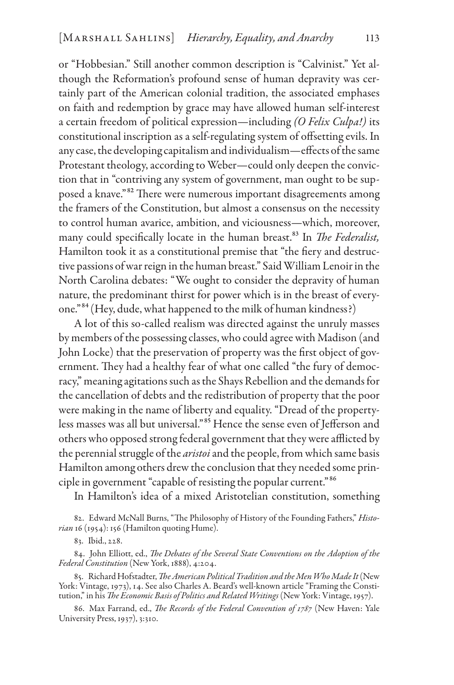or "Hobbesian." Still another common description is "Calvinist." Yet although the Reformation's profound sense of human depravity was certainly part of the American colonial tradition, the associated emphases on faith and redemption by grace may have allowed human self-interest a certain freedom of political expression—including *(O Felix Culpa!)* its constitutional inscription as a self-regulating system of offsetting evils. In any case, the developing capitalism and individualism—effects of the same Protestant theology, according to Weber—could only deepen the conviction that in "contriving any system of government, man ought to be supposed a knave."82 There were numerous important disagreements among the framers of the Constitution, but almost a consensus on the necessity to control human avarice, ambition, and viciousness—which, moreover, many could specifically locate in the human breast.83 In *The Federalist,* Hamilton took it as a constitutional premise that "the fiery and destructive passions of war reign in the human breast." Said William Lenoir in the North Carolina debates: "We ought to consider the depravity of human nature, the predominant thirst for power which is in the breast of everyone."84 (Hey, dude, what happened to the milk of human kindness?)

A lot of this so-called realism was directed against the unruly masses by members of the possessing classes, who could agree with Madison (and John Locke) that the preservation of property was the first object of government. They had a healthy fear of what one called "the fury of democracy," meaning agitations such as the Shays Rebellion and the demands for the cancellation of debts and the redistribution of property that the poor were making in the name of liberty and equality. "Dread of the propertyless masses was all but universal."85 Hence the sense even of Jefferson and others who opposed strong federal government that they were afflicted by the perennial struggle of the *aristoi* and the people, from which same basis Hamilton among others drew the conclusion that they needed some principle in government "capable of resisting the popular current."86

In Hamilton's idea of a mixed Aristotelian constitution, something

82. Edward McNall Burns, "The Philosophy of History of the Founding Fathers," *Historian* 16 (1954): 156 (Hamilton quoting Hume).

84. John Elliott, ed., *The Debates of the Several State Conventions on the Adoption of the Federal Constitution* (New York, 1888), 4:204.

85. Richard Hofstadter, *The American Political Tradition and the Men Who Made It* (New York: Vintage, 1973), 14. See also Charles A. Beard's well-known article "Framing the Constitution," in his *The Economic Basis of Politics and Related Writings* (New York: Vintage, 1957).

86. Max Farrand, ed., *The Records of the Federal Convention of 1787* (New Haven: Yale University Press, 1937), 3:310.

<sup>83.</sup> Ibid., 228.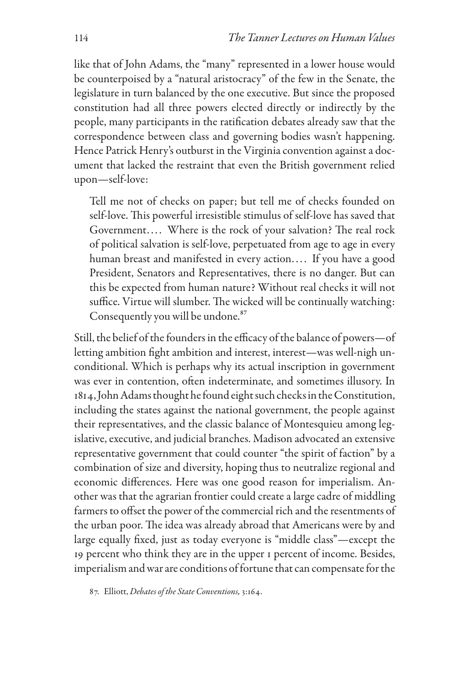like that of John Adams, the "many" represented in a lower house would be counterpoised by a "natural aristocracy" of the few in the Senate, the legislature in turn balanced by the one executive. But since the proposed constitution had all three powers elected directly or indirectly by the people, many participants in the ratification debates already saw that the correspondence between class and governing bodies wasn't happening. Hence Patrick Henry's outburst in the Virginia convention against a document that lacked the restraint that even the British government relied upon—self-love:

Tell me not of checks on paper; but tell me of checks founded on self-love. This powerful irresistible stimulus of self-love has saved that Government.... Where is the rock of your salvation? The real rock of political salvation is self-love, perpetuated from age to age in every human breast and manifested in every action.... If you have a good President, Senators and Representatives, there is no danger. But can this be expected from human nature? Without real checks it will not suffice. Virtue will slumber. The wicked will be continually watching: Consequently you will be undone.<sup>87</sup>

Still, the belief of the founders in the efficacy of the balance of powers—of letting ambition fight ambition and interest, interest—was well-nigh unconditional. Which is perhaps why its actual inscription in government was ever in contention, often indeterminate, and sometimes illusory. In 1814, John Adams thought he found eight such checks in the Constitution, including the states against the national government, the people against their representatives, and the classic balance of Montesquieu among legislative, executive, and judicial branches. Madison advocated an extensive representative government that could counter "the spirit of faction" by a combination of size and diversity, hoping thus to neutralize regional and economic differences. Here was one good reason for imperialism. Another was that the agrarian frontier could create a large cadre of middling farmers to offset the power of the commercial rich and the resentments of the urban poor. The idea was already abroad that Americans were by and large equally fixed, just as today everyone is "middle class"—except the 19 percent who think they are in the upper 1 percent of income. Besides, imperialism and war are conditions of fortune that can compensate for the

87. Elliott, *Debates of the State Conventions,* 3:164.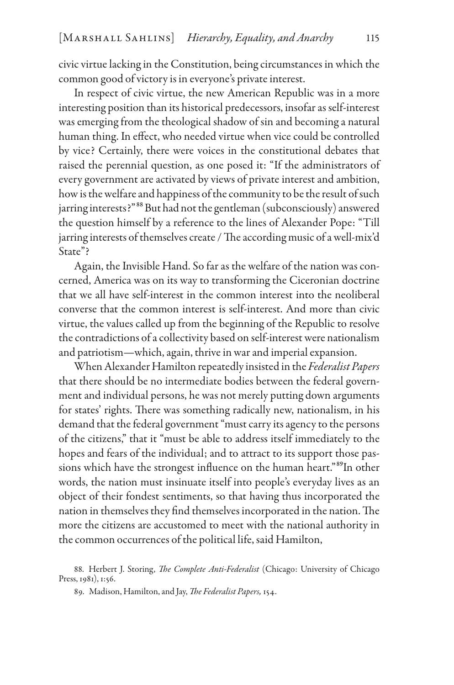civic virtue lacking in the Constitution, being circumstances in which the common good of victory is in everyone's private interest.

In respect of civic virtue, the new American Republic was in a more interesting position than its historical predecessors, insofar as self-interest was emerging from the theological shadow of sin and becoming a natural human thing. In effect, who needed virtue when vice could be controlled by vice? Certainly, there were voices in the constitutional debates that raised the perennial question, as one posed it: "If the administrators of every government are activated by views of private interest and ambition, how is the welfare and happiness of the community to be the result of such jarring interests?"<sup>88</sup> But had not the gentleman (subconsciously) answered the question himself by a reference to the lines of Alexander Pope: "Till jarring interests of themselves create / The according music of a well-mix'd State"?

Again, the Invisible Hand. So far as the welfare of the nation was concerned, America was on its way to transforming the Ciceronian doctrine that we all have self-interest in the common interest into the neoliberal converse that the common interest is self-interest. And more than civic virtue, the values called up from the beginning of the Republic to resolve the contradictions of a collectivity based on self-interest were nationalism and patriotism—which, again, thrive in war and imperial expansion.

When Alexander Hamilton repeatedly insisted in the *Federalist Papers* that there should be no intermediate bodies between the federal government and individual persons, he was not merely putting down arguments for states' rights. There was something radically new, nationalism, in his demand that the federal government "must carry its agency to the persons of the citizens," that it "must be able to address itself immediately to the hopes and fears of the individual; and to attract to its support those passions which have the strongest influence on the human heart."<sup>89</sup>In other words, the nation must insinuate itself into people's everyday lives as an object of their fondest sentiments, so that having thus incorporated the nation in themselves they find themselves incorporated in the nation. The more the citizens are accustomed to meet with the national authority in the common occurrences of the political life, said Hamilton,

88. Herbert J. Storing, *The Complete Anti-Federalist* (Chicago: University of Chicago Press, 1981), 1:56.

89. Madison, Hamilton, and Jay, *The Federalist Papers,* 154.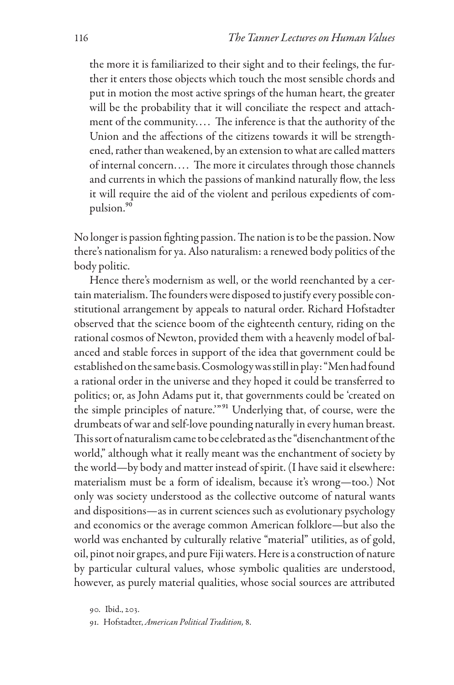the more it is familiarized to their sight and to their feelings, the further it enters those objects which touch the most sensible chords and put in motion the most active springs of the human heart, the greater will be the probability that it will conciliate the respect and attachment of the community.... The inference is that the authority of the Union and the affections of the citizens towards it will be strengthened, rather than weakened, by an extension to what are called matters of internal concern.... The more it circulates through those channels and currents in which the passions of mankind naturally flow, the less it will require the aid of the violent and perilous expedients of compulsion.90

No longer is passion fighting passion. The nation is to be the passion. Now there's nationalism for ya. Also naturalism: a renewed body politics of the body politic.

Hence there's modernism as well, or the world reenchanted by a certain materialism. The founders were disposed to justify every possible constitutional arrangement by appeals to natural order. Richard Hofstadter observed that the science boom of the eighteenth century, riding on the rational cosmos of Newton, provided them with a heavenly model of balanced and stable forces in support of the idea that government could be established on the same basis. Cosmology was still in play: "Men had found a rational order in the universe and they hoped it could be transferred to politics; or, as John Adams put it, that governments could be 'created on the simple principles of nature.'"91 Underlying that, of course, were the drumbeats of war and self-love pounding naturally in every human breast. This sort of naturalism came to be celebrated as the "disenchantment of the world," although what it really meant was the enchantment of society by the world—by body and matter instead of spirit. (I have said it elsewhere: materialism must be a form of idealism, because it's wrong—too.) Not only was society understood as the collective outcome of natural wants and dispositions—as in current sciences such as evolutionary psychology and economics or the average common American folklore—but also the world was enchanted by culturally relative "material" utilities, as of gold, oil, pinot noir grapes, and pure Fiji waters. Here is a construction of nature by particular cultural values, whose symbolic qualities are understood, however, as purely material qualities, whose social sources are attributed

<sup>90.</sup> Ibid., 203.

<sup>91.</sup> Hofstadter, *American Political Tradition,* 8.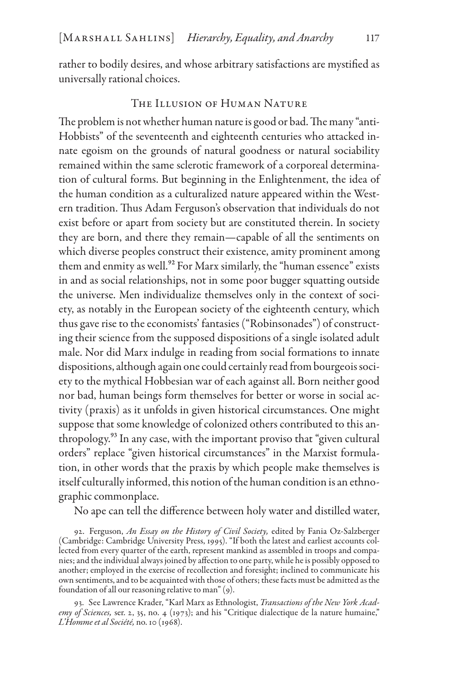rather to bodily desires, and whose arbitrary satisfactions are mystified as universally rational choices.

## THE ILLUSION OF HUMAN NATURE

The problem is not whether human nature is good or bad. The many "anti-Hobbists" of the seventeenth and eighteenth centuries who attacked innate egoism on the grounds of natural goodness or natural sociability remained within the same sclerotic framework of a corporeal determination of cultural forms. But beginning in the Enlightenment, the idea of the human condition as a culturalized nature appeared within the Western tradition. Thus Adam Ferguson's observation that individuals do not exist before or apart from society but are constituted therein. In society they are born, and there they remain—capable of all the sentiments on which diverse peoples construct their existence, amity prominent among them and enmity as well.<sup>92</sup> For Marx similarly, the "human essence" exists in and as social relationships, not in some poor bugger squatting outside the universe. Men individualize themselves only in the context of society, as notably in the European society of the eighteenth century, which thus gave rise to the economists' fantasies ("Robinsonades") of constructing their science from the supposed dispositions of a single isolated adult male. Nor did Marx indulge in reading from social formations to innate dispositions, although again one could certainly read from bourgeois society to the mythical Hobbesian war of each against all. Born neither good nor bad, human beings form themselves for better or worse in social activity (praxis) as it unfolds in given historical circumstances. One might suppose that some knowledge of colonized others contributed to this anthropology.93 In any case, with the important proviso that "given cultural orders" replace "given historical circumstances" in the Marxist formulation, in other words that the praxis by which people make themselves is itself culturally informed, this notion of the human condition is an ethnographic commonplace.

No ape can tell the difference between holy water and distilled water,

92. Ferguson, *An Essay on the History of Civil Society,* edited by Fania Oz-Salzberger (Cambridge: Cambridge University Press, 1995). "If both the latest and earliest accounts collected from every quarter of the earth, represent mankind as assembled in troops and companies; and the individual always joined by affection to one party, while he is possibly opposed to another; employed in the exercise of recollection and foresight; inclined to communicate his own sentiments, and to be acquainted with those of others; these facts must be admitted as the foundation of all our reasoning relative to man" (9).

93. See Lawrence Krader, "Karl Marx as Ethnologist, *Transactions of the New York Academy of Sciences,* ser. 2, 35, no. 4 (1973); and his "Critique dialectique de la nature humaine," *L'Homme et al Société,* no. 10 (1968).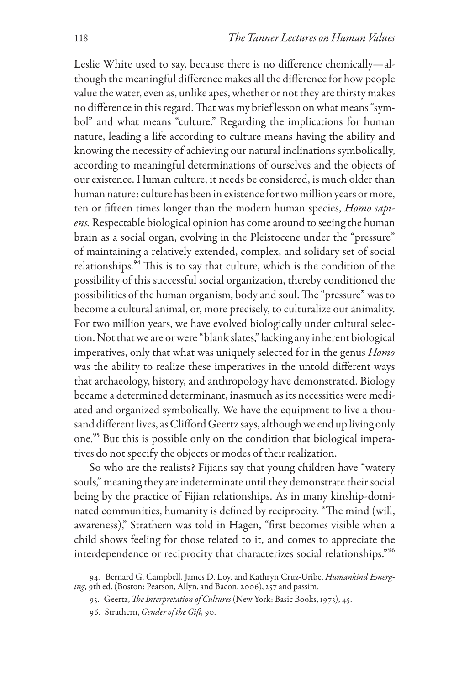Leslie White used to say, because there is no difference chemically—although the meaningful difference makes all the difference for how people value the water, even as, unlike apes, whether or not they are thirsty makes no difference in this regard. That was my brief lesson on what means "symbol" and what means "culture." Regarding the implications for human nature, leading a life according to culture means having the ability and knowing the necessity of achieving our natural inclinations symbolically, according to meaningful determinations of ourselves and the objects of our existence. Human culture, it needs be considered, is much older than human nature: culture has been in existence for two million years or more, ten or fifteen times longer than the modern human species, *Homo sapiens.* Respectable biological opinion has come around to seeing the human brain as a social organ, evolving in the Pleistocene under the "pressure" of maintaining a relatively extended, complex, and solidary set of social relationships.<sup>94</sup> This is to say that culture, which is the condition of the possibility of this successful social organization, thereby conditioned the possibilities of the human organism, body and soul. The "pressure" was to become a cultural animal, or, more precisely, to culturalize our animality. For two million years, we have evolved biologically under cultural selection. Not that we are or were "blank slates," lacking any inherent biological imperatives, only that what was uniquely selected for in the genus *Homo* was the ability to realize these imperatives in the untold different ways that archaeology, history, and anthropology have demonstrated. Biology became a determined determinant, inasmuch as its necessities were mediated and organized symbolically. We have the equipment to live a thousand different lives, as Clifford Geertz says, although we end up living only one.<sup>95</sup> But this is possible only on the condition that biological imperatives do not specify the objects or modes of their realization.

So who are the realists? Fijians say that young children have "watery souls," meaning they are indeterminate until they demonstrate their social being by the practice of Fijian relationships. As in many kinship-dominated communities, humanity is defined by reciprocity. "The mind (will, awareness)," Strathern was told in Hagen, "first becomes visible when a child shows feeling for those related to it, and comes to appreciate the interdependence or reciprocity that characterizes social relationships."96

96. Strathern, *Gender of the Gift,* 90.

<sup>94.</sup> Bernard G. Campbell, James D. Loy, and Kathryn Cruz-Uribe, *Humankind Emerging,* 9th ed. (Boston: Pearson, Allyn, and Bacon, 2006), 257 and passim.

<sup>95.</sup> Geertz, *The Interpretation of Cultures* (New York: Basic Books, 1973), 45.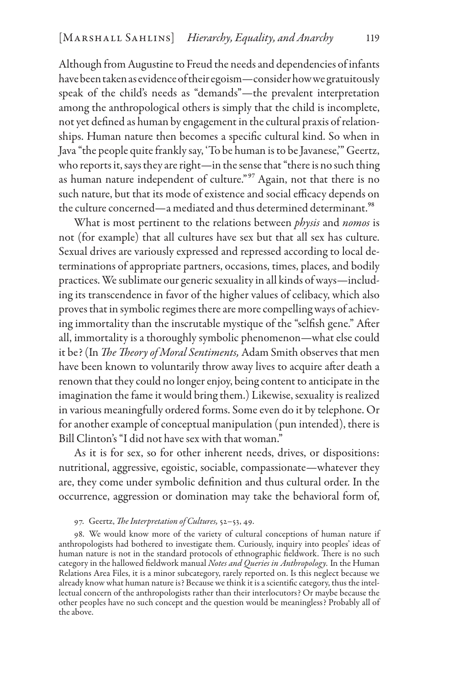Although from Augustine to Freud the needs and dependencies of infants have been taken as evidence of their egoism—consider how we gratuitously speak of the child's needs as "demands"—the prevalent interpretation among the anthropological others is simply that the child is incomplete, not yet defined as human by engagement in the cultural praxis of relationships. Human nature then becomes a specific cultural kind. So when in Java "the people quite frankly say, 'To be human is to be Javanese,'" Geertz, who reports it, says they are right—in the sense that "there is no such thing as human nature independent of culture."<sup>97</sup> Again, not that there is no such nature, but that its mode of existence and social efficacy depends on the culture concerned—a mediated and thus determined determinant.<sup>98</sup>

What is most pertinent to the relations between *physis* and *nomos* is not (for example) that all cultures have sex but that all sex has culture. Sexual drives are variously expressed and repressed according to local determinations of appropriate partners, occasions, times, places, and bodily practices. We sublimate our generic sexuality in all kinds of ways—including its transcendence in favor of the higher values of celibacy, which also proves that in symbolic regimes there are more compelling ways of achieving immortality than the inscrutable mystique of the "selfish gene." After all, immortality is a thoroughly symbolic phenomenon—what else could it be? (In *The Theory of Moral Sentiments,* Adam Smith observes that men have been known to voluntarily throw away lives to acquire after death a renown that they could no longer enjoy, being content to anticipate in the imagination the fame it would bring them.) Likewise, sexuality is realized in various meaningfully ordered forms. Some even do it by telephone. Or for another example of conceptual manipulation (pun intended), there is Bill Clinton's "I did not have sex with that woman."

As it is for sex, so for other inherent needs, drives, or dispositions: nutritional, aggressive, egoistic, sociable, compassionate—whatever they are, they come under symbolic definition and thus cultural order. In the occurrence, aggression or domination may take the behavioral form of,

#### 97. Geertz, *The Interpretation of Cultures,* 52–53, 49.

98. We would know more of the variety of cultural conceptions of human nature if anthropologists had bothered to investigate them. Curiously, inquiry into peoples' ideas of human nature is not in the standard protocols of ethnographic fieldwork. There is no such category in the hallowed fieldwork manual *Notes and Queries in Anthropology.* In the Human Relations Area Files, it is a minor subcategory, rarely reported on. Is this neglect because we already know what human nature is? Because we think it is a scientific category, thus the intellectual concern of the anthropologists rather than their interlocutors? Or maybe because the other peoples have no such concept and the question would be meaningless? Probably all of the above.